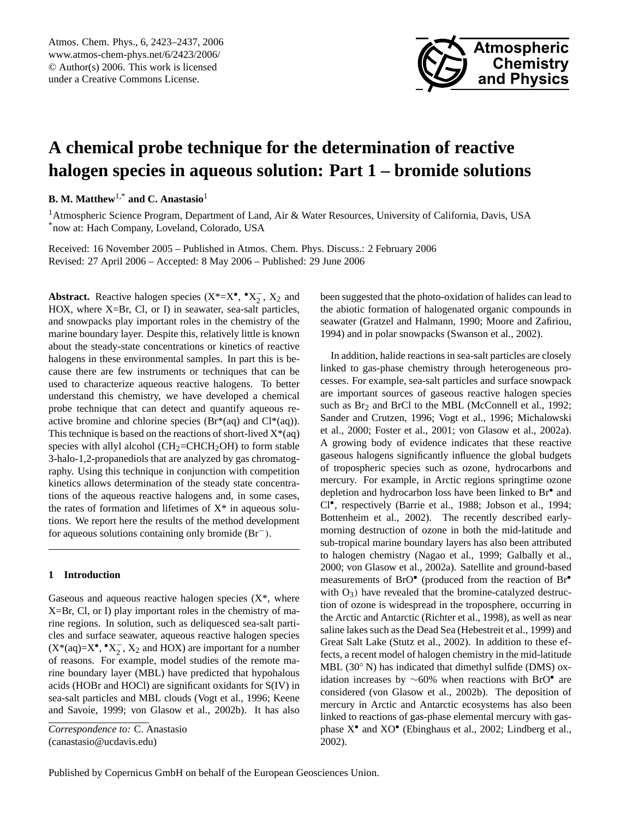

# **A chemical probe technique for the determination of reactive halogen species in aqueous solution: Part 1 – bromide solutions**

**B. M. Matthew**1,\* **and C. Anastasio**<sup>1</sup>

<sup>1</sup> Atmospheric Science Program, Department of Land, Air & Water Resources, University of California, Davis, USA \*now at: Hach Company, Loveland, Colorado, USA

Received: 16 November 2005 – Published in Atmos. Chem. Phys. Discuss.: 2 February 2006 Revised: 27 April 2006 – Accepted: 8 May 2006 – Published: 29 June 2006

**Abstract.** Reactive halogen species  $(X^* = X^{\bullet}, \, \bullet X^-_2)$  $\overline{2}$ ,  $X_2$  and HOX, where X=Br, Cl, or I) in seawater, sea-salt particles, and snowpacks play important roles in the chemistry of the marine boundary layer. Despite this, relatively little is known about the steady-state concentrations or kinetics of reactive halogens in these environmental samples. In part this is because there are few instruments or techniques that can be used to characterize aqueous reactive halogens. To better understand this chemistry, we have developed a chemical probe technique that can detect and quantify aqueous reactive bromine and chlorine species ( $Br^*(aq)$  and  $Cl^*(aq)$ ). This technique is based on the reactions of short-lived  $X^*(aq)$ species with allyl alcohol  $(CH_2=CHCH_2OH)$  to form stable 3-halo-1,2-propanediols that are analyzed by gas chromatography. Using this technique in conjunction with competition kinetics allows determination of the steady state concentrations of the aqueous reactive halogens and, in some cases, the rates of formation and lifetimes of  $X^*$  in aqueous solutions. We report here the results of the method development for aqueous solutions containing only bromide (Br−).

#### **1 Introduction**

Gaseous and aqueous reactive halogen species  $(X^*)$ , where X=Br, Cl, or I) play important roles in the chemistry of marine regions. In solution, such as deliquesced sea-salt particles and surface seawater, aqueous reactive halogen species  $(X^*(aq)=X^{\bullet}, \bullet X^-_{2})$  $_2^-$ ,  $X_2$  and HOX) are important for a number of reasons. For example, model studies of the remote marine boundary layer (MBL) have predicted that hypohalous acids (HOBr and HOCl) are significant oxidants for S(IV) in sea-salt particles and MBL clouds (Vogt et al., 1996; Keene and Savoie, 1999; von Glasow et al., 2002b). It has also been suggested that the photo-oxidation of halides can lead to the abiotic formation of halogenated organic compounds in seawater (Gratzel and Halmann, 1990; Moore and Zafiriou, 1994) and in polar snowpacks (Swanson et al., 2002).

In addition, halide reactions in sea-salt particles are closely linked to gas-phase chemistry through heterogeneous processes. For example, sea-salt particles and surface snowpack are important sources of gaseous reactive halogen species such as Br<sub>2</sub> and BrCl to the MBL (McConnell et al., 1992; Sander and Crutzen, 1996; Vogt et al., 1996; Michalowski et al., 2000; Foster et al., 2001; von Glasow et al., 2002a). A growing body of evidence indicates that these reactive gaseous halogens significantly influence the global budgets of tropospheric species such as ozone, hydrocarbons and mercury. For example, in Arctic regions springtime ozone depletion and hydrocarbon loss have been linked to Br<sup>•</sup> and Cl• , respectively (Barrie et al., 1988; Jobson et al., 1994; Bottenheim et al., 2002). The recently described earlymorning destruction of ozone in both the mid-latitude and sub-tropical marine boundary layers has also been attributed to halogen chemistry (Nagao et al., 1999; Galbally et al., 2000; von Glasow et al., 2002a). Satellite and ground-based measurements of BrO<sup>•</sup> (produced from the reaction of Br<sup>•</sup> with  $O_3$ ) have revealed that the bromine-catalyzed destruction of ozone is widespread in the troposphere, occurring in the Arctic and Antarctic (Richter et al., 1998), as well as near saline lakes such as the Dead Sea (Hebestreit et al., 1999) and Great Salt Lake (Stutz et al., 2002). In addition to these effects, a recent model of halogen chemistry in the mid-latitude MBL  $(30°\ N)$  has indicated that dimethyl sulfide (DMS) oxidation increases by ∼60% when reactions with BrO• are considered (von Glasow et al., 2002b). The deposition of mercury in Arctic and Antarctic ecosystems has also been linked to reactions of gas-phase elemental mercury with gasphase X<sup>•</sup> and XO<sup>•</sup> (Ebinghaus et al., 2002; Lindberg et al., 2002).

<span id="page-0-0"></span>*Correspondence to:* C. Anastasio (canastasio@ucdavis.edu)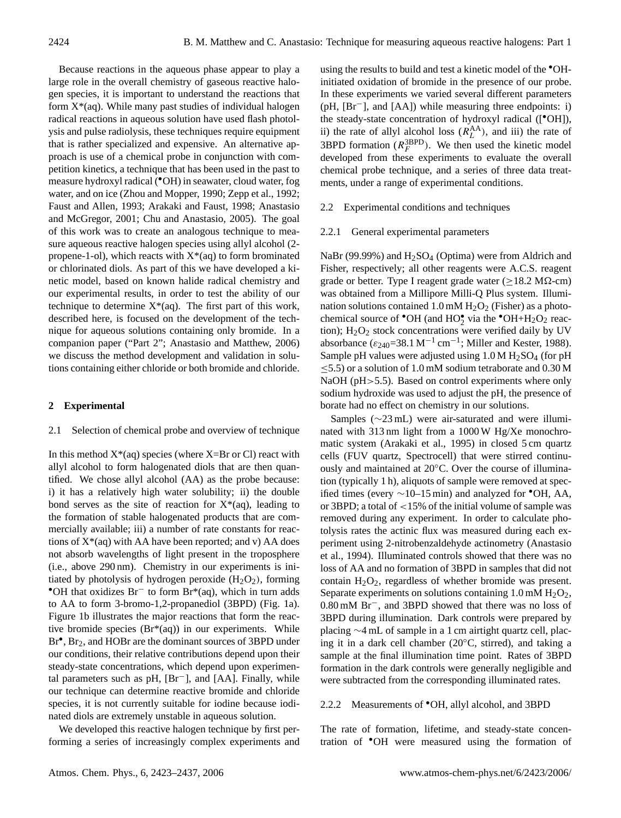Because reactions in the aqueous phase appear to play a large role in the overall chemistry of gaseous reactive halogen species, it is important to understand the reactions that form  $X^*(aq)$ . While many past studies of individual halogen radical reactions in aqueous solution have used flash photolysis and pulse radiolysis, these techniques require equipment that is rather specialized and expensive. An alternative approach is use of a chemical probe in conjunction with competition kinetics, a technique that has been used in the past to measure hydroxyl radical (•OH) in seawater, cloud water, fog water, and on ice (Zhou and Mopper, 1990; Zepp et al., 1992; Faust and Allen, 1993; Arakaki and Faust, 1998; Anastasio and McGregor, 2001; Chu and Anastasio, 2005). The goal of this work was to create an analogous technique to measure aqueous reactive halogen species using allyl alcohol (2 propene-1-ol), which reacts with  $X^*(aq)$  to form brominated or chlorinated diols. As part of this we have developed a kinetic model, based on known halide radical chemistry and our experimental results, in order to test the ability of our technique to determine  $X^*(aq)$ . The first part of this work, described here, is focused on the development of the technique for aqueous solutions containing only bromide. In a companion paper ("Part 2"; Anastasio and Matthew, 2006) we discuss the method development and validation in solutions containing either chloride or both bromide and chloride.

#### **2 Experimental**

#### 2.1 Selection of chemical probe and overview of technique

In this method  $X^*(aq)$  species (where  $X=Br$  or Cl) react with allyl alcohol to form halogenated diols that are then quantified. We chose allyl alcohol (AA) as the probe because: i) it has a relatively high water solubility; ii) the double bond serves as the site of reaction for  $X^*(aq)$ , leading to the formation of stable halogenated products that are commercially available; iii) a number of rate constants for reactions of  $X^*(aq)$  with AA have been reported; and v) AA does not absorb wavelengths of light present in the troposphere (i.e., above 290 nm). Chemistry in our experiments is initiated by photolysis of hydrogen peroxide  $(H_2O_2)$ , forming •OH that oxidizes Br<sup>−</sup> to form Br\*(aq), which in turn adds to AA to form 3-bromo-1,2-propanediol (3BPD) (Fig. 1a). Figure 1b illustrates the major reactions that form the reactive bromide species (Br\*(aq)) in our experiments. While Br<sup>•</sup>, Br<sub>2</sub>, and HOBr are the dominant sources of 3BPD under our conditions, their relative contributions depend upon their steady-state concentrations, which depend upon experimental parameters such as pH, [Br−], and [AA]. Finally, while our technique can determine reactive bromide and chloride species, it is not currently suitable for iodine because iodinated diols are extremely unstable in aqueous solution.

We developed this reactive halogen technique by first performing a series of increasingly complex experiments and using the results to build and test a kinetic model of the •OHinitiated oxidation of bromide in the presence of our probe. In these experiments we varied several different parameters (pH, [Br−], and [AA]) while measuring three endpoints: i) the steady-state concentration of hydroxyl radical ([•OH]), ii) the rate of allyl alcohol loss  $(R_L^{\text{AA}})$ , and iii) the rate of 3BPD formation  $(R_F^{\text{3BPD}})$ . We then used the kinetic model developed from these experiments to evaluate the overall chemical probe technique, and a series of three data treatments, under a range of experimental conditions.

## 2.2 Experimental conditions and techniques

#### 2.2.1 General experimental parameters

NaBr (99.99%) and  $H<sub>2</sub>SO<sub>4</sub>$  (Optima) were from Aldrich and Fisher, respectively; all other reagents were A.C.S. reagent grade or better. Type I reagent grade water ( $\geq$ 18.2 M $\Omega$ -cm) was obtained from a Millipore Milli-Q Plus system. Illumination solutions contained  $1.0 \text{ mM } H_2O_2$  (Fisher) as a photochemical source of  $\bullet$ OH (and HO $\bullet$ <sup>o</sup> via the  $\bullet$ OH+H<sub>2</sub>O<sub>2</sub> reaction); H<sub>2</sub>O<sub>2</sub> stock concentrations were verified daily by UV absorbance ( $\varepsilon_{240}$ =38.1 M<sup>-1</sup> cm<sup>-1</sup>; Miller and Kester, 1988). Sample pH values were adjusted using  $1.0 M H_2SO_4$  (for pH ≤5.5) or a solution of 1.0 mM sodium tetraborate and 0.30 M NaOH (pH > 5.5). Based on control experiments where only sodium hydroxide was used to adjust the pH, the presence of borate had no effect on chemistry in our solutions.

Samples (∼23 mL) were air-saturated and were illuminated with 313 nm light from a 1000 W Hg/Xe monochromatic system (Arakaki et al., 1995) in closed 5 cm quartz cells (FUV quartz, Spectrocell) that were stirred continuously and maintained at 20◦C. Over the course of illumination (typically 1 h), aliquots of sample were removed at specified times (every  $\sim$ 10–15 min) and analyzed for  $\bullet$ OH, AA, or 3BPD; a total of <15% of the initial volume of sample was removed during any experiment. In order to calculate photolysis rates the actinic flux was measured during each experiment using 2-nitrobenzaldehyde actinometry (Anastasio et al., 1994). Illuminated controls showed that there was no loss of AA and no formation of 3BPD in samples that did not contain  $H_2O_2$ , regardless of whether bromide was present. Separate experiments on solutions containing  $1.0 \text{ mM } H_2O_2$ , 0.80 mM Br−, and 3BPD showed that there was no loss of 3BPD during illumination. Dark controls were prepared by placing ∼4 mL of sample in a 1 cm airtight quartz cell, placing it in a dark cell chamber (20◦C, stirred), and taking a sample at the final illumination time point. Rates of 3BPD formation in the dark controls were generally negligible and were subtracted from the corresponding illuminated rates.

## 2.2.2 Measurements of •OH, allyl alcohol, and 3BPD

The rate of formation, lifetime, and steady-state concentration of •OH were measured using the formation of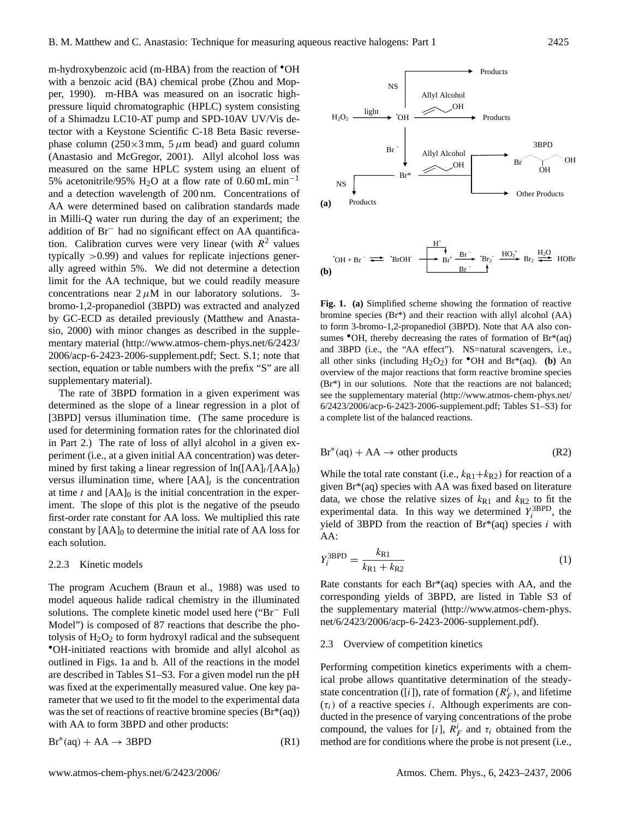m-hydroxybenzoic acid (m-HBA) from the reaction of •OH with a benzoic acid (BA) chemical probe (Zhou and Mopper, 1990). m-HBA was measured on an isocratic highpressure liquid chromatographic (HPLC) system consisting of a Shimadzu LC10-AT pump and SPD-10AV UV/Vis detector with a Keystone Scientific C-18 Beta Basic reversephase column ( $250\times3$  mm,  $5 \mu$ m bead) and guard column (Anastasio and McGregor, 2001). Allyl alcohol loss was measured on the same HPLC system using an eluent of 5% acetonitrile/95% H<sub>2</sub>O at a flow rate of 0.60 mL min<sup>-1</sup> and a detection wavelength of 200 nm. Concentrations of AA were determined based on calibration standards made in Milli-Q water run during the day of an experiment; the addition of Br<sup>−</sup> had no significant effect on AA quantification. Calibration curves were very linear (with  $R^2$  values typically >0.99) and values for replicate injections generally agreed within 5%. We did not determine a detection limit for the AA technique, but we could readily measure concentrations near  $2 \mu M$  in our laboratory solutions. 3bromo-1,2-propanediol (3BPD) was extracted and analyzed by GC-ECD as detailed previously (Matthew and Anastasio, 2000) with minor changes as described in the supplementary material [\(http://www.atmos-chem-phys.net/6/2423/](http://www.atmos-chem-phys.net/6/2423/2006/acp-6-2423-2006-supplement.pdf) [2006/acp-6-2423-2006-supplement.pdf;](http://www.atmos-chem-phys.net/6/2423/2006/acp-6-2423-2006-supplement.pdf) Sect. S.1; note that section, equation or table numbers with the prefix "S" are all supplementary material).

The rate of 3BPD formation in a given experiment was determined as the slope of a linear regression in a plot of [3BPD] versus illumination time. (The same procedure is used for determining formation rates for the chlorinated diol in Part 2.) The rate of loss of allyl alcohol in a given experiment (i.e., at a given initial AA concentration) was determined by first taking a linear regression of  $ln([AA]_t / [AA]_0)$ versus illumination time, where  $[AA]_t$  is the concentration at time t and  $[AA]_0$  is the initial concentration in the experiment. The slope of this plot is the negative of the pseudo first-order rate constant for AA loss. We multiplied this rate constant by  $[AA]_0$  to determine the initial rate of AA loss for each solution.

#### 2.2.3 Kinetic models

The program Acuchem (Braun et al., 1988) was used to model aqueous halide radical chemistry in the illuminated solutions. The complete kinetic model used here ("Br<sup>−</sup> Full Model") is composed of 87 reactions that describe the photolysis of  $H_2O_2$  to form hydroxyl radical and the subsequent •OH-initiated reactions with bromide and allyl alcohol as outlined in Figs. 1a and b. All of the reactions in the model are described in Tables S1–S3. For a given model run the pH was fixed at the experimentally measured value. One key parameter that we used to fit the model to the experimental data was the set of reactions of reactive bromine species  $(Br^*(aq))$ with AA to form 3BPD and other products:

$$
Br^*(aq) + AA \to 3BPD
$$
 (R1)



**Fig. 1. (a)** Simplified scheme showing the formation of reactive bromine species (Br\*) and their reaction with allyl alcohol (AA) to form 3-bromo-1,2-propanediol (3BPD). Note that AA also consumes  $\bullet$ OH, thereby decreasing the rates of formation of Br\*(aq) and 3BPD (i.e., the "AA effect"). NS=natural scavengers, i.e., all other sinks (including  $H_2O_2$ ) for  $\bullet$ OH and Br<sup>\*</sup>(aq). **(b)** An overview of the major reactions that form reactive bromine species (Br\*) in our solutions. Note that the reactions are not balanced; see the supplementary material [\(http://www.atmos-chem-phys.net/](http://www.atmos-chem-phys.net/6/2423/2006/acp-6-2423-2006-supplement.pdf) [6/2423/2006/acp-6-2423-2006-supplement.pdf;](http://www.atmos-chem-phys.net/6/2423/2006/acp-6-2423-2006-supplement.pdf) Tables S1–S3) for a complete list of the balanced reactions.

$$
Br^*(aq) + AA \to other\ products
$$
 (R2)

While the total rate constant (i.e.,  $k_{R1}+k_{R2}$ ) for reaction of a given Br\*(aq) species with AA was fixed based on literature data, we chose the relative sizes of  $k_{R1}$  and  $k_{R2}$  to fit the experimental data. In this way we determined  $Y_i^{3BPD}$ , the yield of 3BPD from the reaction of  $Br<sup>*</sup>(aq)$  species i with AA:

$$
Y_i^{3\text{BPD}} = \frac{k_{\text{R1}}}{k_{\text{R1}} + k_{\text{R2}}}
$$
 (1)

Rate constants for each  $Br<sup>*</sup>(aq)$  species with AA, and the corresponding yields of 3BPD, are listed in Table S3 of the supplementary material [\(http://www.atmos-chem-phys.](http://www.atmos-chem-phys.net/6/2423/2006/acp-6-2423-2006-supplement.pdf) [net/6/2423/2006/acp-6-2423-2006-supplement.pdf\)](http://www.atmos-chem-phys.net/6/2423/2006/acp-6-2423-2006-supplement.pdf).

#### 2.3 Overview of competition kinetics

Performing competition kinetics experiments with a chemical probe allows quantitative determination of the steadystate concentration ([i]), rate of formation ( $R_F^i$ ), and lifetime  $(\tau_i)$  of a reactive species *i*. Although experiments are conducted in the presence of varying concentrations of the probe compound, the values for [i],  $R_F^i$  and  $\tau_i$  obtained from the method are for conditions where the probe is not present (i.e.,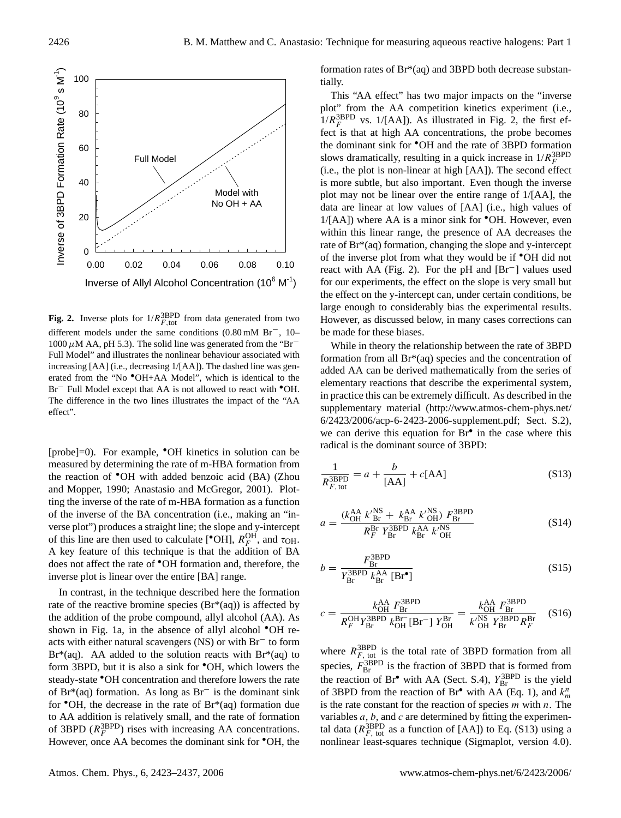

**Fig. 2.** Inverse plots for  $1/R_{F,\text{tot}}^{\text{3BPD}}$  from data generated from two different models under the same conditions (0.80 mM Br−, 10–  $1000 \mu$ M AA, pH 5.3). The solid line was generated from the "Br<sup>−</sup> Full Model" and illustrates the nonlinear behaviour associated with increasing [AA] (i.e., decreasing 1/[AA]). The dashed line was generated from the "No •OH+AA Model", which is identical to the Br<sup>−</sup> Full Model except that AA is not allowed to react with <sup>•</sup>OH. The difference in the two lines illustrates the impact of the "AA effect".

[probe]=0). For example, •OH kinetics in solution can be measured by determining the rate of m-HBA formation from the reaction of •OH with added benzoic acid (BA) (Zhou and Mopper, 1990; Anastasio and McGregor, 2001). Plotting the inverse of the rate of m-HBA formation as a function of the inverse of the BA concentration (i.e., making an "inverse plot") produces a straight line; the slope and y-intercept of this line are then used to calculate [<sup>•</sup>OH],  $R_F^{\text{OH}}$ , and  $\tau_{\text{OH}}$ . A key feature of this technique is that the addition of BA does not affect the rate of •OH formation and, therefore, the inverse plot is linear over the entire [BA] range.

In contrast, in the technique described here the formation rate of the reactive bromine species  $(Br*(aq))$  is affected by the addition of the probe compound, allyl alcohol (AA). As shown in Fig. 1a, in the absence of allyl alcohol <sup>•</sup>OH reacts with either natural scavengers (NS) or with Br<sup>−</sup> to form  $Br<sup>*</sup>(aq)$ . AA added to the solution reacts with  $Br<sup>*</sup>(aq)$  to form 3BPD, but it is also a sink for •OH, which lowers the steady-state •OH concentration and therefore lowers the rate of Br\*(aq) formation. As long as Br<sup>−</sup> is the dominant sink for  $\bullet$ OH, the decrease in the rate of Br $*(aq)$  formation due to AA addition is relatively small, and the rate of formation of 3BPD  $(R_F^{3BPD})$  rises with increasing AA concentrations. However, once AA becomes the dominant sink for •OH, the formation rates of Br\*(aq) and 3BPD both decrease substantially.

This "AA effect" has two major impacts on the "inverse plot" from the AA competition kinetics experiment (i.e.,  $1/R<sub>F</sub><sup>3BPD</sup>$  vs. 1/[AA]). As illustrated in Fig. 2, the first effect is that at high AA concentrations, the probe becomes the dominant sink for •OH and the rate of 3BPD formation slows dramatically, resulting in a quick increase in  $1/R<sub>F</sub><sup>3BPD</sup>$ (i.e., the plot is non-linear at high [AA]). The second effect is more subtle, but also important. Even though the inverse plot may not be linear over the entire range of 1/[AA], the data are linear at low values of [AA] (i.e., high values of  $1/[\text{AA}]$ ) where AA is a minor sink for  $\textdegree$ OH. However, even within this linear range, the presence of AA decreases the rate of Br\*(aq) formation, changing the slope and y-intercept of the inverse plot from what they would be if •OH did not react with AA (Fig. 2). For the pH and [Br−] values used for our experiments, the effect on the slope is very small but the effect on the y-intercept can, under certain conditions, be large enough to considerably bias the experimental results. However, as discussed below, in many cases corrections can be made for these biases.

While in theory the relationship between the rate of 3BPD formation from all Br\*(aq) species and the concentration of added AA can be derived mathematically from the series of elementary reactions that describe the experimental system, in practice this can be extremely difficult. As described in the supplementary material [\(http://www.atmos-chem-phys.net/](http://www.atmos-chem-phys.net/6/2423/2006/acp-6-2423-2006-supplement.pdf) [6/2423/2006/acp-6-2423-2006-supplement.pdf;](http://www.atmos-chem-phys.net/6/2423/2006/acp-6-2423-2006-supplement.pdf) Sect. S.2), we can derive this equation for Br<sup>•</sup> in the case where this radical is the dominant source of 3BPD:

$$
\frac{1}{R_{F,\text{tot}}^{\text{3BPD}}} = a + \frac{b}{[\text{AA}]} + c[\text{AA}]
$$
\n
$$
(S13)
$$

$$
a = \frac{(k_{\text{OH}}^{\text{AA}} \, k_{\text{Br}}^{\prime \text{NS}} + k_{\text{Br}}^{\text{AA}} \, k_{\text{OH}}^{\prime \text{NS}} \, F_{\text{Br}}^{\text{3BPD}}}{R_F^{\text{Br}} \, Y_{\text{Br}}^{\text{3BPD}} \, k_{\text{Br}}^{\text{AA}} \, k_{\text{OH}}^{\prime \text{NS}}}
$$
(S14)

$$
b = \frac{F_{\rm Br}^{\rm 3BPD}}{Y_{\rm Br}^{\rm 3BPD} k_{\rm Br}^{\rm AA} [\rm Br^{\bullet}]}
$$
(S15)

$$
c = \frac{k_{OH}^{\text{AA}} F_{Br}^{\text{3BPD}}}{R_F^{\text{OH}} Y_{Br}^{\text{3BPD}} k_{OH}^{\text{Br}^-} [\text{Br}^-] Y_{OH}^{\text{Br}}} = \frac{k_{OH}^{\text{AA}} F_{Br}^{\text{3BPD}}}{k_{OH}^{\prime \text{NS}} Y_{Br}^{\text{3BPD}} R_F^{\text{Br}}}
$$
(S16)

where  $R_{F, \text{tot}}^{\text{3BPD}}$  is the total rate of 3BPD formation from all species,  $F_{\text{Br}}^{3\text{BPD}}$  is the fraction of 3BPD that is formed from the reaction of Br<sup>•</sup> with AA (Sect. S.4),  $Y_{\text{Br}}^{\text{3BPD}}$  is the yield of 3BPD from the reaction of Br<sup>•</sup> with AA (Eq. 1), and  $k_m^n$ is the rate constant for the reaction of species  $m$  with  $n$ . The variables  $a, b$ , and  $c$  are determined by fitting the experimental data ( $R_{F, \text{tot}}^{\text{3BPD}}$  as a function of [AA]) to Eq. (S13) using a nonlinear least-squares technique (Sigmaplot, version 4.0).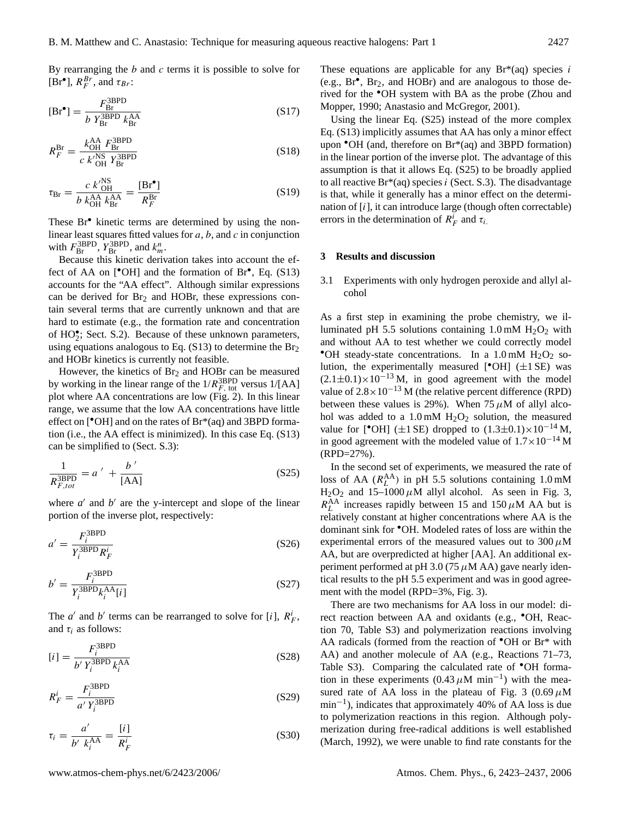By rearranging the  $b$  and  $c$  terms it is possible to solve for  $[Br^{\bullet}], R_F^{Br}$ , and  $\tau_{Br}$ :

$$
[\text{Br}^{\bullet}] = \frac{F_{\text{Br}}^{\text{3BPD}}}{b Y_{\text{Br}}^{\text{3BPD}} k_{\text{Br}}^{\text{AA}}} \tag{S17}
$$

$$
R_F^{\text{Br}} = \frac{k_{\text{OH}}^{\text{AA}} F_{\text{Br}}^{\text{3BPD}}}{c \; k_{\text{OH}}^{\prime \text{NS}} \; Y_{\text{Br}}^{\text{3BPD}}} \tag{S18}
$$

$$
\tau_{\rm Br} = \frac{c \ k_{\rm OH}^{\rm NS}}{b \ k_{\rm OH}^{\rm AA} k_{\rm Br}^{\rm AA}} = \frac{[\rm Br^{\bullet}]}{R_F^{\rm Br}} \tag{S19}
$$

These Br<sup>•</sup> kinetic terms are determined by using the nonlinear least squares fitted values for  $a, b$ , and  $c$  in conjunction with  $F_{\text{Br}}^{\text{3BPD}}, Y_{\text{Br}}^{\text{3BPD}},$  and  $k_m^n$ .

Because this kinetic derivation takes into account the effect of AA on [<sup>•</sup>OH] and the formation of Br<sup>•</sup>, Eq. (S13) accounts for the "AA effect". Although similar expressions can be derived for  $Br<sub>2</sub>$  and HOBr, these expressions contain several terms that are currently unknown and that are hard to estimate (e.g., the formation rate and concentration of HO<sup>•</sup><sub>2</sub>; Sect. S.2). Because of these unknown parameters, using equations analogous to Eq.  $(S13)$  to determine the Br<sub>2</sub> and HOBr kinetics is currently not feasible.

However, the kinetics of  $Br<sub>2</sub>$  and HOBr can be measured by working in the linear range of the  $1/R_{F, \text{ tot}}^{\text{3BPD}}$  versus  $1/[AA]$ plot where AA concentrations are low (Fig. 2). In this linear range, we assume that the low AA concentrations have little effect on [•OH] and on the rates of Br\*(aq) and 3BPD formation (i.e., the AA effect is minimized). In this case Eq. (S13) can be simplified to (Sect. S.3):

$$
\frac{1}{R_{F,tot}^{\text{3BPD}}} = a' + \frac{b'}{[\text{AA}]}
$$
 (S25)

where  $a'$  and  $b'$  are the y-intercept and slope of the linear portion of the inverse plot, respectively:

$$
a' = \frac{F_i^{\text{3BPD}}}{Y_i^{\text{3BPD}} R_F^i}
$$
\n(S26)

$$
b' = \frac{F_i^{\text{3BPD}}}{Y_i^{\text{3BPD}} k_i^{\text{AA}}[i]}
$$
\n<sup>(S27)</sup>

The *a'* and *b'* terms can be rearranged to solve for [*i*],  $R_F^i$ , and  $\tau_i$  as follows:

$$
[i] = \frac{F_i^{\text{3BPD}}}{b' Y_i^{\text{3BPD}} k_i^{\text{AA}}}
$$
(S28)

$$
R_F^i = \frac{F_i^{\text{3BPD}}}{a' Y_i^{\text{3BPD}}} \tag{S29}
$$

$$
\tau_i = \frac{a'}{b' \ k_i^{\text{AA}}} = \frac{[i]}{R_F^i} \tag{S30}
$$

These equations are applicable for any  $Br^*(aq)$  species i (e.g., Br• , Br2, and HOBr) and are analogous to those derived for the •OH system with BA as the probe (Zhou and Mopper, 1990; Anastasio and McGregor, 2001).

Using the linear Eq. (S25) instead of the more complex Eq. (S13) implicitly assumes that AA has only a minor effect upon •OH (and, therefore on Br\*(aq) and 3BPD formation) in the linear portion of the inverse plot. The advantage of this assumption is that it allows Eq. (S25) to be broadly applied to all reactive  $Br^*(aq)$  species *i* (Sect. S.3). The disadvantage is that, while it generally has a minor effect on the determination of  $[i]$ , it can introduce large (though often correctable) errors in the determination of  $R_F^i$  and  $\tau_i$ .

#### **3 Results and discussion**

3.1 Experiments with only hydrogen peroxide and allyl alcohol

As a first step in examining the probe chemistry, we illuminated pH 5.5 solutions containing 1.0 mM  $H_2O_2$  with and without AA to test whether we could correctly model • OH steady-state concentrations. In a 1.0 mM  $H_2O_2$  solution, the experimentally measured [ $^{\bullet}$ OH] ( $\pm$ 1 SE) was  $(2.1\pm0.1)\times10^{-13}$  M, in good agreement with the model value of  $2.8 \times 10^{-13}$  M (the relative percent difference (RPD) between these values is 29%). When  $75 \mu M$  of allyl alcohol was added to a 1.0 mM  $H<sub>2</sub>O<sub>2</sub>$  solution, the measured value for [<sup>•</sup>OH] ( $\pm$ 1 SE) dropped to (1.3 $\pm$ 0.1)×10<sup>-14</sup> M, in good agreement with the modeled value of  $1.7 \times 10^{-14}$  M (RPD=27%).

In the second set of experiments, we measured the rate of loss of AA  $(R_L^{\text{AA}})$  in pH 5.5 solutions containing 1.0 mM  $H<sub>2</sub>O<sub>2</sub>$  and 15–1000  $\mu$ M allyl alcohol. As seen in Fig. 3,  $R_L^{\text{AA}}$  increases rapidly between 15 and 150  $\mu$ M AA but is relatively constant at higher concentrations where AA is the dominant sink for •OH. Modeled rates of loss are within the experimental errors of the measured values out to  $300 \mu M$ AA, but are overpredicted at higher [AA]. An additional experiment performed at pH 3.0 (75  $\mu$ M AA) gave nearly identical results to the pH 5.5 experiment and was in good agreement with the model (RPD=3%, Fig. 3).

There are two mechanisms for AA loss in our model: direct reaction between AA and oxidants (e.g., •OH, Reaction 70, Table S3) and polymerization reactions involving AA radicals (formed from the reaction of •OH or Br\* with AA) and another molecule of AA (e.g., Reactions 71–73, Table S3). Comparing the calculated rate of  $\bullet$ OH formation in these experiments  $(0.43 \mu M \text{ min}^{-1})$  with the measured rate of AA loss in the plateau of Fig. 3 (0.69  $\mu$ M min−<sup>1</sup> ), indicates that approximately 40% of AA loss is due to polymerization reactions in this region. Although polymerization during free-radical additions is well established (March, 1992), we were unable to find rate constants for the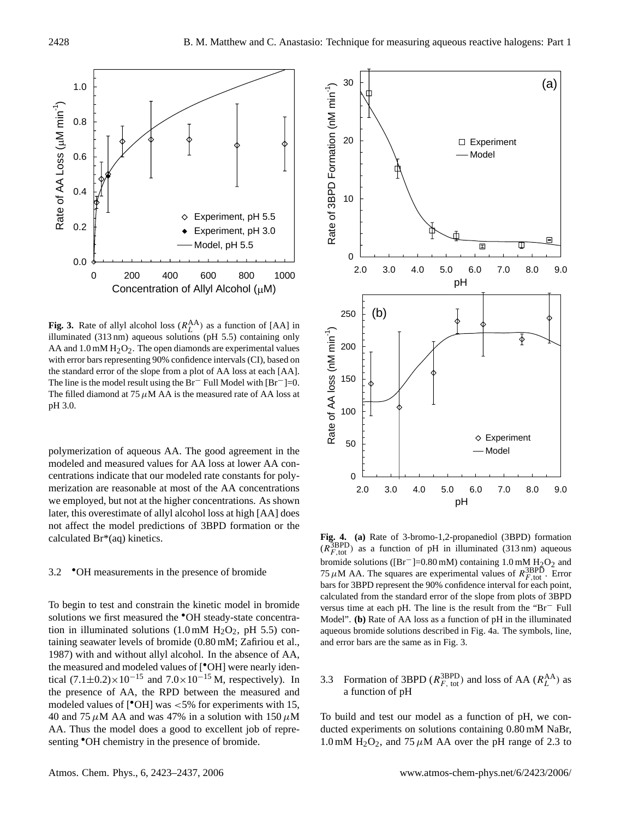

**Fig. 3.** Rate of allyl alcohol loss  $(R_L^{AA})$  as a function of [AA] in illuminated (313 nm) aqueous solutions (pH 5.5) containing only AA and  $1.0 \text{ mM H}_2\text{O}_2$ . The open diamonds are experimental values with error bars representing 90% confidence intervals (CI), based on the standard error of the slope from a plot of AA loss at each [AA]. The line is the model result using the Br<sup>−</sup> Full Model with [Br−]=0. The filled diamond at 75  $\mu$ M AA is the measured rate of AA loss at pH 3.0.

polymerization of aqueous AA. The good agreement in the modeled and measured values for AA loss at lower AA concentrations indicate that our modeled rate constants for polymerization are reasonable at most of the AA concentrations we employed, but not at the higher concentrations. As shown later, this overestimate of allyl alcohol loss at high [AA] does not affect the model predictions of 3BPD formation or the calculated Br\*(aq) kinetics.

## 3.2 •OH measurements in the presence of bromide

To begin to test and constrain the kinetic model in bromide solutions we first measured the <sup>•</sup>OH steady-state concentration in illuminated solutions  $(1.0 \text{ mM } H_2O_2, \text{ pH } 5.5)$  containing seawater levels of bromide (0.80 mM; Zafiriou et al., 1987) with and without allyl alcohol. In the absence of AA, the measured and modeled values of [•OH] were nearly identical  $(7.1\pm0.2)\times10^{-15}$  and  $7.0\times10^{-15}$  M, respectively). In the presence of AA, the RPD between the measured and modeled values of [•OH] was <5% for experiments with 15, 40 and 75  $\mu$ M AA and was 47% in a solution with 150  $\mu$ M AA. Thus the model does a good to excellent job of representing  $\bullet$ OH chemistry in the presence of bromide.



**Fig. 4. (a)** Rate of 3-bromo-1,2-propanediol (3BPD) formation  $(R_{F, \text{tot}}^{\text{3BPD}})$  as a function of pH in illuminated (313 nm) aqueous bromide solutions ( $[Br^-]=0.80$  mM) containing 1.0 mM  $H_2O_2$  and 75  $\mu$ M AA. The squares are experimental values of  $R_{F,\text{tot}}^{\text{3BPD}}$ . Error bars for 3BPD represent the 90% confidence interval for each point, calculated from the standard error of the slope from plots of 3BPD versus time at each pH. The line is the result from the "Br<sup>−</sup> Full Model". **(b)** Rate of AA loss as a function of pH in the illuminated aqueous bromide solutions described in Fig. 4a. The symbols, line, and error bars are the same as in Fig. 3.

# 3.3 Formation of 3BPD ( $R_{F, \text{ tot}}^{\text{3BPD}}$ ) and loss of AA ( $R_L^{\text{AA}}$ ) as a function of pH

To build and test our model as a function of pH, we conducted experiments on solutions containing 0.80 mM NaBr, 1.0 mM  $H_2O_2$ , and 75  $\mu$ M AA over the pH range of 2.3 to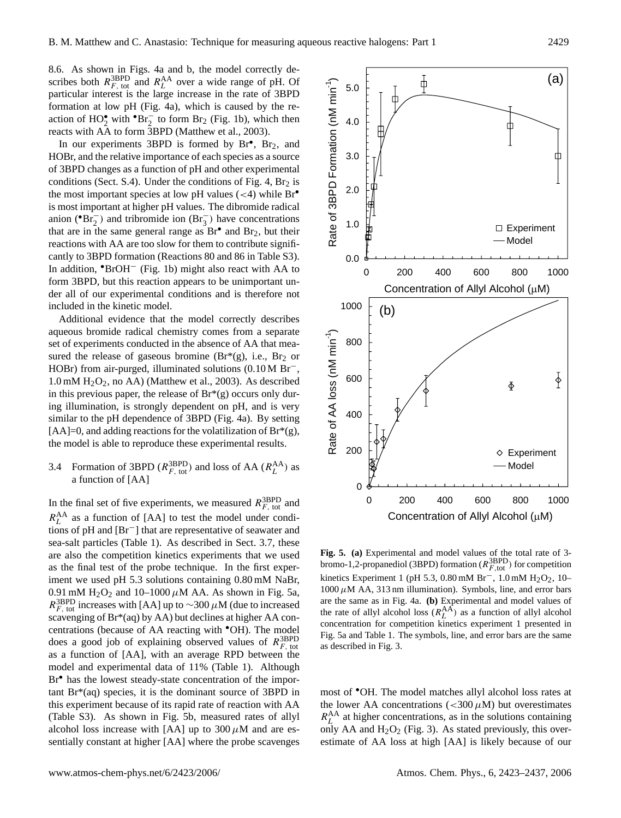8.6. As shown in Figs. 4a and b, the model correctly describes both  $R_{F, \text{ tot}}^{\text{3BPD}}$  and  $R_L^{\text{AA}}$  over a wide range of pH. Of particular interest is the large increase in the rate of 3BPD formation at low pH (Fig. 4a), which is caused by the reaction of  $HO_2^{\bullet}$  with  ${}^{\bullet}Br_2^-$  to form  $Br_2$  (Fig. 1b), which then reacts with AA to form 3BPD (Matthew et al., 2003).

In our experiments 3BPD is formed by  $Br^{\bullet}$ ,  $Br_2$ , and HOBr, and the relative importance of each species as a source of 3BPD changes as a function of pH and other experimental conditions (Sect. S.4). Under the conditions of Fig. 4,  $Br<sub>2</sub>$  is the most important species at low pH values  $(< 4)$  while Br<sup>•</sup> is most important at higher pH values. The dibromide radical anion ( ${}^{\bullet}Br_2^-$ ) and tribromide ion ( $Br_3^-$ ) have concentrations that are in the same general range as  $Br^{\bullet}$  and  $Br_2$ , but their reactions with AA are too slow for them to contribute significantly to 3BPD formation (Reactions 80 and 86 in Table S3). In addition, •BrOH<sup>−</sup> (Fig. 1b) might also react with AA to form 3BPD, but this reaction appears to be unimportant under all of our experimental conditions and is therefore not included in the kinetic model.

Additional evidence that the model correctly describes aqueous bromide radical chemistry comes from a separate set of experiments conducted in the absence of AA that measured the release of gaseous bromine ( $Br^*(g)$ , i.e.,  $Br_2$  or HOBr) from air-purged, illuminated solutions (0.10 M Br−,  $1.0 \text{ mM } H_2O_2$ , no AA) (Matthew et al., 2003). As described in this previous paper, the release of  $Br<sup>*</sup>(g)$  occurs only during illumination, is strongly dependent on pH, and is very similar to the pH dependence of 3BPD (Fig. 4a). By setting [AA]=0, and adding reactions for the volatilization of  $Br^*(g)$ , the model is able to reproduce these experimental results.

3.4 Formation of 3BPD  $(R_{F, \text{ tot}}^{\text{3BPD}})$  and loss of AA  $(R_L^{\text{AA}})$  as a function of [AA]

In the final set of five experiments, we measured  $R_{F, \text{ tot}}^{\text{3BPD}}$  and  $R_L^{\text{AA}}$  as a function of [AA] to test the model under conditions of pH and [Br−] that are representative of seawater and sea-salt particles (Table 1). As described in Sect. 3.7, these are also the competition kinetics experiments that we used as the final test of the probe technique. In the first experiment we used pH 5.3 solutions containing 0.80 mM NaBr, 0.91 mM  $H<sub>2</sub>O<sub>2</sub>$  and 10–1000  $\mu$ M AA. As shown in Fig. 5a,  $R_{F, \text{tot}}^{\text{3BPD}}$  increases with [AA] up to ~300  $\mu$ M (due to increased scavenging of Br\*(aq) by AA) but declines at higher AA concentrations (because of AA reacting with •OH). The model does a good job of explaining observed values of  $R_{F, \text{tot}}^{\text{3BPD}}$ as a function of [AA], with an average RPD between the model and experimental data of 11% (Table 1). Although Br<sup>•</sup> has the lowest steady-state concentration of the important Br\*(aq) species, it is the dominant source of 3BPD in this experiment because of its rapid rate of reaction with AA (Table S3). As shown in Fig. 5b, measured rates of allyl alcohol loss increase with [AA] up to  $300 \mu$ M and are essentially constant at higher [AA] where the probe scavenges



**Fig. 5. (a)** Experimental and model values of the total rate of 3 bromo-1,2-propanediol (3BPD) formation ( $R_{F, \text{tot}}^{\text{3BPD}}$ ) for competition kinetics Experiment 1 (pH 5.3, 0.80 mM Br<sup>-</sup>, 1.0 mM H<sub>2</sub>O<sub>2</sub>, 10–  $1000 \mu M$  AA, 313 nm illumination). Symbols, line, and error bars are the same as in Fig. 4a. **(b)** Experimental and model values of the rate of allyl alcohol loss  $(R_L^{AA})$  as a function of allyl alcohol concentration for competition kinetics experiment 1 presented in Fig. 5a and Table 1. The symbols, line, and error bars are the same as described in Fig. 3.

most of •OH. The model matches allyl alcohol loss rates at the lower AA concentrations ( $<$ 300 $\mu$ M) but overestimates  $R_L^{\text{AA}}$  at higher concentrations, as in the solutions containing only AA and  $H_2O_2$  (Fig. 3). As stated previously, this overestimate of AA loss at high [AA] is likely because of our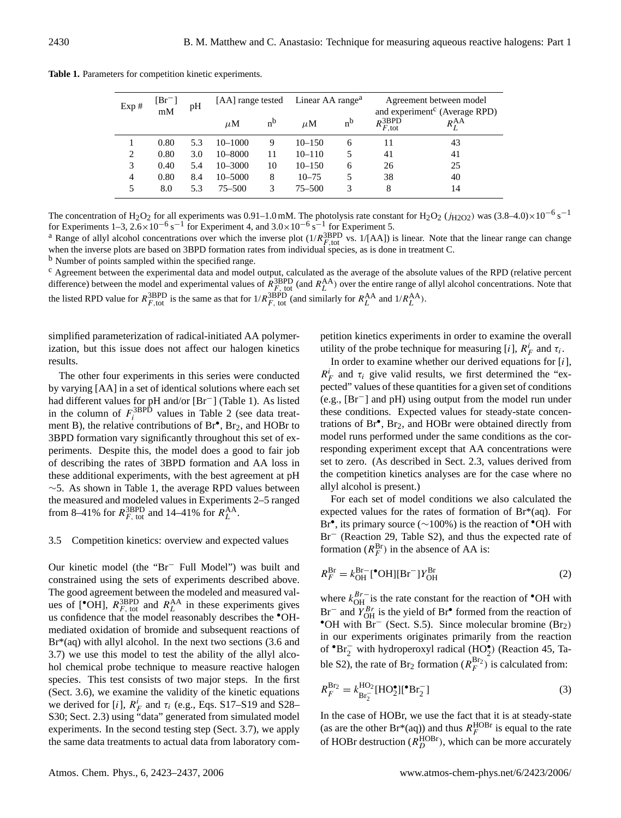|  | <b>Table 1.</b> Parameters for competition kinetic experiments. |  |  |  |  |
|--|-----------------------------------------------------------------|--|--|--|--|
|--|-----------------------------------------------------------------|--|--|--|--|

| Exp#           | $[Br^-]$<br>mM | pH  | [AA] range tested |         | Linear AA range <sup>a</sup> |         | Agreement between model<br>and experiment <sup>c</sup> (Average RPD) |                   |  |
|----------------|----------------|-----|-------------------|---------|------------------------------|---------|----------------------------------------------------------------------|-------------------|--|
|                |                |     | $\mu$ M           | $n^{b}$ | $\mu$ M                      | $n^{b}$ | $R_{F, \text{tot}}^{3\text{BPD}}$                                    | $R_t^{\text{AA}}$ |  |
|                | 0.80           | 5.3 | $10 - 1000$       | 9       | $10 - 150$                   | 6       | 11                                                                   | 43                |  |
| 2              | 0.80           | 3.0 | $10 - 8000$       | 11      | $10 - 110$                   | 5       | 41                                                                   | 41                |  |
| 3              | 0.40           | 5.4 | $10 - 3000$       | 10      | $10 - 150$                   | 6       | 26                                                                   | 25                |  |
| $\overline{4}$ | 0.80           | 8.4 | $10 - 5000$       | 8       | $10 - 75$                    | 5       | 38                                                                   | 40                |  |
| 5              | 8.0            | 5.3 | $75 - 500$        | 3       | $75 - 500$                   | 3       | 8                                                                    | 14                |  |

The concentration of H<sub>2</sub>O<sub>2</sub> for all experiments was 0.91–1.0 mM. The photolysis rate constant for H<sub>2</sub>O<sub>2</sub> ( $j_{H2O2}$ ) was (3.8–4.0)×10<sup>-6</sup> s<sup>-1</sup> for Experiments 1–3,  $2.6 \times 10^{-6}$  s<sup>-1</sup> for Experiment 4, and  $3.0 \times 10^{-6}$  s<sup>-1</sup> for Experiment 5.

<sup>a</sup> Range of allyl alcohol concentrations over which the inverse plot  $(1/R_{F,\text{tot}}^{\text{3BPD}})$  vs.  $1/[\text{AA}])$  is linear. Note that the linear range can change when the inverse plots are based on 3BPD formation rates from ind

<sup>b</sup> Number of points sampled within the specified range.

<sup>c</sup> Agreement between the experimental data and model output, calculated as the average of the absolute values of the RPD (relative percent difference) between the model and experimental values of  $R_{F, \text{ tot}}^{\text{3BPD}}$  (and  $R_{L}^{\text{AA}}$ ) over the entire range of allyl alcohol concentrations. Note that the listed RPD value for  $R_{F,\text{tot}}^{\text{3BPD}}$  is the same as that for  $1/R_{F,\text{ tot}}^{\text{3BPD}}$  (and similarly for  $R_L^{\text{AA}}$  and  $1/R_L^{\text{AA}}$ ).

simplified parameterization of radical-initiated AA polymerization, but this issue does not affect our halogen kinetics results.

The other four experiments in this series were conducted by varying [AA] in a set of identical solutions where each set had different values for pH and/or [Br−] (Table 1). As listed in the column of  $F_i^{\text{3BPD}}$  values in Table 2 (see data treatment B), the relative contributions of Br<sup>•</sup>, Br<sub>2</sub>, and HOBr to 3BPD formation vary significantly throughout this set of experiments. Despite this, the model does a good to fair job of describing the rates of 3BPD formation and AA loss in these additional experiments, with the best agreement at pH ∼5. As shown in Table 1, the average RPD values between the measured and modeled values in Experiments 2–5 ranged from 8–41% for  $R_{F, \text{ tot}}^{\text{3BPD}}$  and 14–41% for  $R_L^{\text{AA}}$ .

#### 3.5 Competition kinetics: overview and expected values

Our kinetic model (the "Br<sup>−</sup> Full Model") was built and constrained using the sets of experiments described above. The good agreement between the modeled and measured values of [<sup>•</sup>OH],  $R_{F, \text{ tot}}^{\text{3BPD}}$  and  $R_{L}^{\text{AA}}$  in these experiments gives us confidence that the model reasonably describes the •OHmediated oxidation of bromide and subsequent reactions of  $Br<sup>*</sup>(aq)$  with allyl alcohol. In the next two sections (3.6 and 3.7) we use this model to test the ability of the allyl alcohol chemical probe technique to measure reactive halogen species. This test consists of two major steps. In the first (Sect. 3.6), we examine the validity of the kinetic equations we derived for [i],  $R_F^i$  and  $\tau_i$  (e.g., Eqs. S17–S19 and S28– S30; Sect. 2.3) using "data" generated from simulated model experiments. In the second testing step (Sect. 3.7), we apply the same data treatments to actual data from laboratory competition kinetics experiments in order to examine the overall utility of the probe technique for measuring [i],  $R_F^i$  and  $\tau_i$ .

In order to examine whether our derived equations for  $[i]$ ,  $R_F^i$  and  $\tau_i$  give valid results, we first determined the "expected" values of these quantities for a given set of conditions (e.g., [Br−] and pH) using output from the model run under these conditions. Expected values for steady-state concentrations of Br• , Br2, and HOBr were obtained directly from model runs performed under the same conditions as the corresponding experiment except that AA concentrations were set to zero. (As described in Sect. 2.3, values derived from the competition kinetics analyses are for the case where no allyl alcohol is present.)

For each set of model conditions we also calculated the expected values for the rates of formation of Br\*(aq). For Br<sup>•</sup>, its primary source (~100%) is the reaction of <sup>•</sup>OH with Br<sup>−</sup> (Reaction 29, Table S2), and thus the expected rate of formation  $(R_F^{\text{Br}})$  in the absence of AA is:

$$
R_F^{\text{Br}} = k_{\text{OH}}^{\text{Br}-}[\text{^{\bullet}OH}][\text{Br}^-]Y_{\text{OH}}^{\text{Br}}
$$
 (2)

where  $k_{\text{OH}}^{Br-}$  is the rate constant for the reaction of  $\text{OH}$  with Br<sup>−</sup> and  $Y_{OH}^{Br}$  is the yield of Br<sup>•</sup> formed from the reaction of •OH with  $Br^-$  (Sect. S.5). Since molecular bromine (Br<sub>2</sub>) in our experiments originates primarily from the reaction of  $\text{Br}_2^-$  with hydroperoxyl radical (HO<sup>•</sup><sub>2</sub>) (Reaction 45, Table S2), the rate of Br<sub>2</sub> formation ( $R_F^{Br_2}$ ) is calculated from:

$$
R_F^{\rm Br_2} = k_{\rm Br_2^-}^{\rm HO_2}[\rm HO_2^{\bullet}][^{\bullet}Br_2^-]
$$
 (3)

In the case of HOBr, we use the fact that it is at steady-state (as are the other Br\*(aq)) and thus  $R_F^{\text{HOBr}}$  is equal to the rate of HOBr destruction ( $R_D^{\text{HOBr}}$ ), which can be more accurately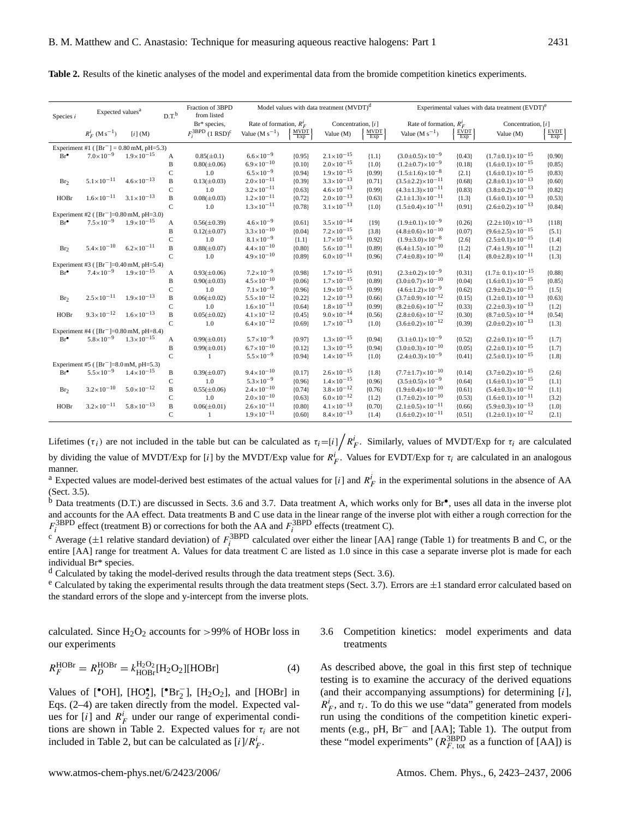| Species i                                          | Expected values <sup>a</sup>                |                       | $D.T$ <sup>b</sup> | Fraction of 3BPD<br>from listed          | Model values with data treatment (MVDT) <sup>d</sup> |                    |                       |                                  |                                 | Experimental values with data treatment (EVDT) <sup>e</sup> |                                 |                                  |  |
|----------------------------------------------------|---------------------------------------------|-----------------------|--------------------|------------------------------------------|------------------------------------------------------|--------------------|-----------------------|----------------------------------|---------------------------------|-------------------------------------------------------------|---------------------------------|----------------------------------|--|
|                                                    |                                             |                       |                    | Br* species,                             | Rate of formation, $R_E^i$<br>Concentration, [i]     |                    |                       | Rate of formation, $R_E^i$       |                                 | Concentration, [i]                                          |                                 |                                  |  |
|                                                    | $R_F^i$ (M s <sup>-1</sup> )                | $[i]$ (M)             |                    | $F_i^{\text{3BPD}}$ (1 RSD) <sup>c</sup> | Value ( $M s^{-1}$ )                                 | $\frac{MVDT}{Exp}$ | Value (M)             | $\frac{\text{MVDT}}{\text{Exp}}$ | Value ( $M s^{-1}$ )            | $\frac{E\dot{V}DT}{Exp}$                                    | Value (M)                       | $\frac{\text{EVDT}}{\text{Exp}}$ |  |
| Experiment #1 ( $[Br^-] = 0.80$ mM, pH=5.3)        |                                             |                       |                    |                                          |                                                      |                    |                       |                                  |                                 |                                                             |                                 |                                  |  |
| $Br^{\bullet}$                                     | $7.0\times10^{-9}$                          | $1.9 \times 10^{-15}$ | A                  | $0.85(\pm 0.1)$                          | $6.6 \times 10^{-9}$                                 | ${0.95}$           | $2.1 \times 10^{-15}$ | ${1.1}$                          | $(3.0 \pm 0.5) \times 10^{-9}$  | ${0.43}$                                                    | $(1.7 \pm 0.1) \times 10^{-15}$ | ${0.90}$                         |  |
|                                                    |                                             |                       | $\bf{B}$           | $0.80(\pm 0.06)$                         | $6.9 \times 10^{-10}$                                | ${0.10}$           | $2.0\times10^{-15}$   | ${1.0}$                          | $(1.2 \pm 0.7) \times 10^{-9}$  | ${0.18}$                                                    | $(1.6 \pm 0.1) \times 10^{-15}$ | ${0.85}$                         |  |
|                                                    |                                             |                       | $\mathsf C$        | 1.0                                      | $6.5 \times 10^{-9}$                                 | ${0.94}$           | $1.9 \times 10^{-15}$ | ${0.99}$                         | $(1.5 \pm 1.6) \times 10^{-8}$  | ${2.1}$                                                     | $(1.6 \pm 0.1) \times 10^{-15}$ | ${0.83}$                         |  |
| Br <sub>2</sub>                                    | $5.1 \times 10^{-11}$                       | $4.6 \times 10^{-13}$ | B                  | $0.13(\pm 0.03)$                         | $2.0\times10^{-11}$                                  | ${0.39}$           | $3.3 \times 10^{-13}$ | ${0.71}$                         | $(3.5 \pm 2.2) \times 10^{-11}$ | ${0.68}$                                                    | $(2.8 \pm 0.1) \times 10^{-13}$ | ${0.60}$                         |  |
|                                                    |                                             |                       | $\mathsf{C}$       | 1.0                                      | $3.2 \times 10^{-11}$                                | ${0.63}$           | $4.6 \times 10^{-13}$ | ${0.99}$                         | $(4.3 \pm 1.3) \times 10^{-11}$ | ${0.83}$                                                    | $(3.8 \pm 0.2) \times 10^{-13}$ | ${0.82}$                         |  |
| HOBr                                               | $1.6 \times 10^{-11}$                       | $3.1 \times 10^{-13}$ | $\mathbf{B}$       | $0.08(\pm 0.03)$                         | $1.2 \times 10^{-11}$                                | ${0.72}$           | $2.0\times10^{-13}$   | ${0.63}$                         | $(2.1 \pm 1.3) \times 10^{-11}$ | ${1.3}$                                                     | $(1.6 \pm 0.1) \times 10^{-13}$ | ${0.53}$                         |  |
|                                                    |                                             |                       | $\mathsf{C}$       | 1.0                                      | $1.3 \times 10^{-11}$                                | ${0.78}$           | $3.1 \times 10^{-13}$ | ${1.0}$                          | $(1.5\pm0.4)\times10^{-11}$     | ${0.91}$                                                    | $(2.6 \pm 0.2) \times 10^{-13}$ | ${0.84}$                         |  |
|                                                    | Experiment #2 ( $[Br^{-}]=0.80$ mM, pH=3.0) |                       |                    |                                          |                                                      |                    |                       |                                  |                                 |                                                             |                                 |                                  |  |
| $Br^{\bullet}$                                     | $7.5 \times 10^{-9}$                        | $1.9\times10^{-15}$   | A                  | $0.56(\pm 0.39)$                         | $4.6 \times 10^{-9}$                                 | ${0.61}$           | $3.5 \times 10^{-14}$ | ${19}$                           | $(1.9 \pm 0.1) \times 10^{-9}$  | ${0.26}$                                                    | $(2.2 \pm 10) \times 10^{-13}$  | ${118}$                          |  |
|                                                    |                                             |                       | B                  | $0.12(\pm 0.07)$                         | $3.3 \times 10^{-10}$                                | ${0.04}$           | $7.2 \times 10^{-15}$ | ${3.8}$                          | $(4.8 \pm 0.6) \times 10^{-10}$ | ${0.07}$                                                    | $(9.6 \pm 2.5) \times 10^{-15}$ | ${5.1}$                          |  |
|                                                    |                                             |                       | $\mathsf C$        | 1.0                                      | $8.1 \times 10^{-9}$                                 | ${1.1}$            | $1.7 \times 10^{-15}$ | ${0.92}$                         | $(1.9 \pm 3.0) \times 10^{-8}$  | ${2.6}$                                                     | $(2.5 \pm 0.1) \times 10^{-15}$ | ${1.4}$                          |  |
| Br <sub>2</sub>                                    | $5.4 \times 10^{-10}$                       | $6.2 \times 10^{-11}$ | $\overline{B}$     | $0.88(\pm 0.07)$                         | $4.4 \times 10^{-10}$                                | ${0.80}$           | $5.6 \times 10^{-11}$ | ${0.89}$                         | $(6.4 \pm 1.5) \times 10^{-10}$ | ${1.2}$                                                     | $(7.4 \pm 1.9) \times 10^{-11}$ | ${1.2}$                          |  |
|                                                    |                                             |                       | $\mathbf C$        | 1.0                                      | $4.9 \times 10^{-10}$                                | ${0.89}$           | $6.0\times10^{-11}$   | ${0.96}$                         | $(7.4 \pm 0.8) \times 10^{-10}$ | ${1.4}$                                                     | $(8.0 \pm 2.8) \times 10^{-11}$ | ${1.3}$                          |  |
| Experiment #3 ( $[Br^-]=0.40$ mM, pH=5.4)          |                                             |                       |                    |                                          |                                                      |                    |                       |                                  |                                 |                                                             |                                 |                                  |  |
| $Br^{\bullet}$                                     | $7.4\times10^{-9}$                          | $1.9 \times 10^{-15}$ | A                  | $0.93(\pm 0.06)$                         | $7.2 \times 10^{-9}$                                 | ${0.98}$           | $1.7 \times 10^{-15}$ | ${0.91}$                         | $(2.3 \pm 0.2) \times 10^{-9}$  | ${0.31}$                                                    | $(1.7 \pm 0.1) \times 10^{-15}$ | ${0.88}$                         |  |
|                                                    |                                             |                       | B                  | $0.90(\pm 0.03)$                         | $4.5 \times 10^{-10}$                                | ${0.06}$           | $1.7 \times 10^{-15}$ | ${0.89}$                         | $(3.0 \pm 0.7) \times 10^{-10}$ | ${0.04}$                                                    | $(1.6 \pm 0.1) \times 10^{-15}$ | ${0.85}$                         |  |
|                                                    |                                             |                       | $\mathsf{C}$       | 1.0                                      | $7.1 \times 10^{-9}$                                 | ${0.96}$           | $1.9 \times 10^{-15}$ | ${0.99}$                         | $(4.6 \pm 1.2) \times 10^{-9}$  | ${0.62}$                                                    | $(2.9 \pm 0.2) \times 10^{-15}$ | ${1.5}$                          |  |
| Br <sub>2</sub>                                    | $2.5 \times 10^{-11}$                       | $1.9 \times 10^{-13}$ | $\overline{B}$     | $0.06(\pm 0.02)$                         | $5.5 \times 10^{-12}$                                | ${0.22}$           | $1.2 \times 10^{-13}$ | ${0.66}$                         | $(3.7 \pm 0.9) \times 10^{-12}$ | ${0.15}$                                                    | $(1.2 \pm 0.1) \times 10^{-13}$ | ${0.63}$                         |  |
|                                                    |                                             |                       | $\mathsf{C}$       | 1.0                                      | $1.6 \times 10^{-11}$                                | ${0.64}$           | $1.8 \times 10^{-13}$ | ${0.99}$                         | $(8.2 \pm 0.6) \times 10^{-12}$ | ${0.33}$                                                    | $(2.2 \pm 0.3) \times 10^{-13}$ | ${1.2}$                          |  |
| HOBr                                               | $9.3 \times 10^{-12}$                       | $1.6 \times 10^{-13}$ | $\overline{B}$     | $0.05(\pm 0.02)$                         | $4.1 \times 10^{-12}$                                | ${0.45}$           | $9.0 \times 10^{-14}$ | ${0.56}$                         | $(2.8 \pm 0.6) \times 10^{-12}$ | ${0.30}$                                                    | $(8.7 \pm 0.5) \times 10^{-14}$ | ${0.54}$                         |  |
|                                                    |                                             |                       | $\mathbf C$        | 1.0                                      | $6.4 \times 10^{-12}$                                | ${0.69}$           | $1.7 \times 10^{-13}$ | ${1.0}$                          | $(3.6 \pm 0.2) \times 10^{-12}$ | ${0.39}$                                                    | $(2.0 \pm 0.2) \times 10^{-13}$ | ${1.3}$                          |  |
| Experiment #4 ([Br <sup>-</sup> ]=0.80 mM, pH=8.4) |                                             |                       |                    |                                          |                                                      |                    |                       |                                  |                                 |                                                             |                                 |                                  |  |
| $Br^{\bullet}$                                     | $5.8 \times 10^{-9}$                        | $1.3 \times 10^{-15}$ | A                  | $0.99(\pm 0.01)$                         | $5.7 \times 10^{-9}$                                 | ${0.97}$           | $1.3 \times 10^{-15}$ | ${0.94}$                         | $(3.1 \pm 0.1) \times 10^{-9}$  | ${0.52}$                                                    | $(2.2 \pm 0.1) \times 10^{-15}$ | ${1.7}$                          |  |
|                                                    |                                             |                       | $\, {\bf B}$       | $0.99(\pm 0.01)$                         | $6.7 \times 10^{-10}$                                | ${0.12}$           | $1.3 \times 10^{-15}$ | ${0.94}$                         | $(3.0 \pm 0.3) \times 10^{-10}$ | ${0.05}$                                                    | $(2.2 \pm 0.1) \times 10^{-15}$ | ${1.7}$                          |  |
|                                                    |                                             |                       | $\mathsf{C}$       | $\mathbf{1}$                             | $5.5 \times 10^{-9}$                                 | ${0.94}$           | $1.4 \times 10^{-15}$ | ${1.0}$                          | $(2.4 \pm 0.3) \times 10^{-9}$  | ${0.41}$                                                    | $(2.5 \pm 0.1) \times 10^{-15}$ | ${1.8}$                          |  |
| Experiment #5 ( $[Br^{-}]$ =8.0 mM, pH=5.3)        |                                             |                       |                    |                                          |                                                      |                    |                       |                                  |                                 |                                                             |                                 |                                  |  |
| $Br^{\bullet}$                                     | $5.5 \times 10^{-9}$                        | $1.4 \times 10^{-15}$ | B                  | $0.39(\pm 0.07)$                         | $9.4 \times 10^{-10}$                                | ${0.17}$           | $2.6 \times 10^{-15}$ | ${1.8}$                          | $(7.7 \pm 1.7) \times 10^{-10}$ | ${0.14}$                                                    | $(3.7 \pm 0.2) \times 10^{-15}$ | ${2.6}$                          |  |
|                                                    |                                             |                       | $\mathsf C$        | 1.0                                      | $5.3 \times 10^{-9}$                                 | ${0.96}$           | $1.4 \times 10^{-15}$ | ${0.96}$                         | $(3.5 \pm 0.5) \times 10^{-9}$  | ${0.64}$                                                    | $(1.6 \pm 0.1) \times 10^{-15}$ | ${1.1}$                          |  |
| Br <sub>2</sub>                                    | $3.2 \times 10^{-10}$                       | $5.0 \times 10^{-12}$ | $\overline{B}$     | $0.55(\pm 0.06)$                         | $2.4 \times 10^{-10}$                                | ${0.74}$           | $3.8 \times 10^{-12}$ | ${0.76}$                         | $(1.9 \pm 0.4) \times 10^{-10}$ | ${0.61}$                                                    | $(5.4 \pm 0.3) \times 10^{-12}$ | ${1.1}$                          |  |
|                                                    |                                             |                       | $\mathsf{C}$       | 1.0                                      | $2.0\times10^{-10}$                                  | ${0.63}$           | $6.0 \times 10^{-12}$ | ${1.2}$                          | $(1.7 \pm 0.2) \times 10^{-10}$ | ${0.53}$                                                    | $(1.6 \pm 0.1) \times 10^{-11}$ | ${3.2}$                          |  |
| HOBr                                               | $3.2 \times 10^{-11}$                       | $5.8 \times 10^{-13}$ | $\, {\bf B}$       | $0.06(\pm 0.01)$                         | $2.6 \times 10^{-11}$                                | ${0.80}$           | $4.1 \times 10^{-13}$ | ${0.70}$                         | $(2.1 \pm 0.5) \times 10^{-11}$ | ${0.66}$                                                    | $(5.9 \pm 0.3) \times 10^{-13}$ | ${1.0}$                          |  |
|                                                    |                                             |                       | $\mathsf{C}$       | $\mathbf{1}$                             | $1.9 \times 10^{-11}$                                | ${0.60}$           | $8.4 \times 10^{-13}$ | ${1.4}$                          | $(1.6 \pm 0.2) \times 10^{-11}$ | ${0.51}$                                                    | $(1.2 \pm 0.1) \times 10^{-12}$ | ${2.1}$                          |  |

**Table 2.** Results of the kinetic analyses of the model and experimental data from the bromide competition kinetics experiments.

Lifetimes ( $\tau_i$ ) are not included in the table but can be calculated as  $\tau_i = [i] \bigg/ R_F^i$ . Similarly, values of MVDT/Exp for  $\tau_i$  are calculated by dividing the value of MVDT/Exp for [i] by the MVDT/Exp value for  $R_F^i$ . Values for EVDT/Exp for  $\tau_i$  are calculated in an analogous manner.

<sup>a</sup> Expected values are model-derived best estimates of the actual values for [i] and  $R_F^i$  in the experimental solutions in the absence of AA (Sect. 3.5).

 $\overline{b}$  Data treatments (D.T.) are discussed in Sects. 3.6 and 3.7. Data treatment A, which works only for Br<sup>•</sup>, uses all data in the inverse plot and accounts for the AA effect. Data treatments B and C use data in the linear range of the inverse plot with either a rough correction for the  $F_i^{\text{3BPD}}$  effect (treatment B) or corrections for both the AA and  $F_i^{\text{3BPD}}$  effects (treatment C).

<sup>c</sup> Average ( $\pm 1$  relative standard deviation) of  $F_i^{\text{3BPD}}$  calculated over either the linear [AA] range (Table 1) for treatments B and C, or the entire [AA] range for treatment A. Values for data treatment C are listed as 1.0 since in this case a separate inverse plot is made for each individual Br\* species.

<sup>d</sup> Calculated by taking the model-derived results through the data treatment steps (Sect. 3.6).

<sup>e</sup> Calculated by taking the experimental results through the data treatment steps (Sect. 3.7). Errors are  $\pm 1$  standard error calculated based on the standard errors of the slope and y-intercept from the inverse plots.

calculated. Since  $H_2O_2$  accounts for >99% of HOBr loss in our experiments

$$
R_F^{\text{HOBr}} = R_D^{\text{HOBr}} = k_{\text{HOBr}}^{\text{H}_2\text{O}_2}[\text{H}_2\text{O}_2][\text{HOBr}] \tag{4}
$$

Values of [<sup>•</sup>OH], [HO<sup>•</sup><sub>2</sub>], [<sup>•</sup>Br<sub>2</sub><sup>-</sup>], [H<sub>2</sub>O<sub>2</sub>], and [HOBr] in Eqs. (2–4) are taken directly from the model. Expected values for  $[i]$  and  $R_F^i$  under our range of experimental conditions are shown in Table 2. Expected values for  $\tau_i$  are not included in Table 2, but can be calculated as  $[i]/R_F^i$ .

## 3.6 Competition kinetics: model experiments and data treatments

As described above, the goal in this first step of technique testing is to examine the accuracy of the derived equations (and their accompanying assumptions) for determining  $[i]$ ,  $R_F^i$ , and  $\tau_i$ . To do this we use "data" generated from models run using the conditions of the competition kinetic experiments (e.g., pH, Br<sup>−</sup> and [AA]; Table 1). The output from these "model experiments" ( $R_{F, \text{ tot}}^{\text{3BPD}}$  as a function of [AA]) is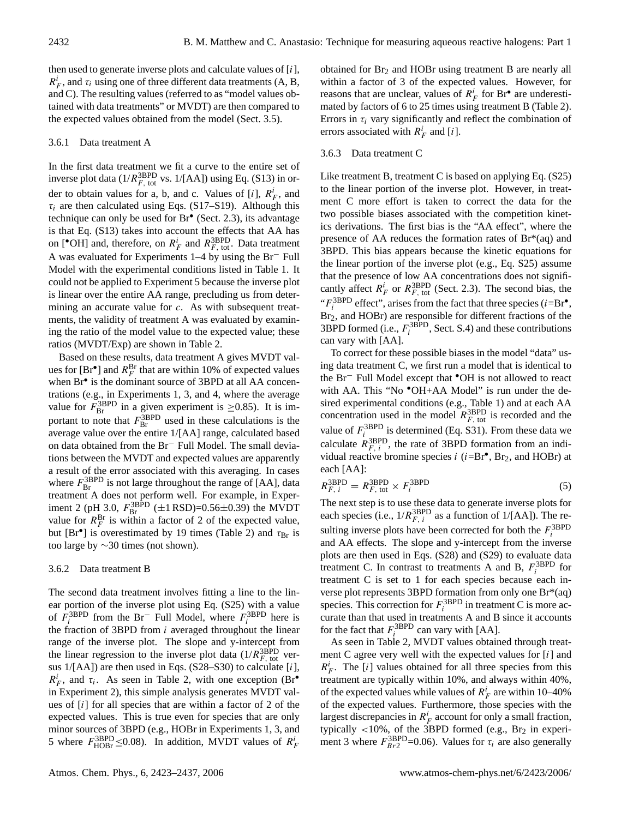then used to generate inverse plots and calculate values of [i],  $R_F^i$ , and  $\tau_i$  using one of three different data treatments (A, B, and C). The resulting values (referred to as "model values obtained with data treatments" or MVDT) are then compared to the expected values obtained from the model (Sect. 3.5).

## 3.6.1 Data treatment A

In the first data treatment we fit a curve to the entire set of inverse plot data ( $1/R_{F, \text{ tot}}^{\text{3BPD}}$  vs.  $1/[AA]$ ) using Eq. (S13) in order to obtain values for a, b, and c. Values of  $[i]$ ,  $R_F^i$ , and  $\tau_i$  are then calculated using Eqs. (S17–S19). Although this technique can only be used for Br• (Sect. 2.3), its advantage is that Eq. (S13) takes into account the effects that AA has on [<sup>•</sup>OH] and, therefore, on  $R_F^i$  and  $R_{F,\text{tot}}^{3\text{BPD}}$ . Data treatment A was evaluated for Experiments 1–4 by using the Br<sup>−</sup> Full Model with the experimental conditions listed in Table 1. It could not be applied to Experiment 5 because the inverse plot is linear over the entire AA range, precluding us from determining an accurate value for c. As with subsequent treatments, the validity of treatment A was evaluated by examining the ratio of the model value to the expected value; these ratios (MVDT/Exp) are shown in Table 2.

Based on these results, data treatment A gives MVDT values for  $[Br^{\bullet}]$  and  $R_F^{\text{Br}}$  that are within 10% of expected values when Br<sup>•</sup> is the dominant source of 3BPD at all AA concentrations (e.g., in Experiments 1, 3, and 4, where the average value for  $F_{\text{Br}}^{3\text{BPD}}$  in a given experiment is  $\geq$ 0.85). It is important to note that  $F_{\text{Br}}^{\text{3BPD}}$  used in these calculations is the average value over the entire 1/[AA] range, calculated based on data obtained from the Br<sup>−</sup> Full Model. The small deviations between the MVDT and expected values are apparently a result of the error associated with this averaging. In cases where  $F_{\text{Br}}^{3\text{BPD}}$  is not large throughout the range of [AA], data treatment A does not perform well. For example, in Experiment 2 (pH 3.0,  $F_{\text{Br}}^{3\text{BPD}}$  ( $\pm 1$  RSD)=0.56 $\pm$ 0.39) the MVDT value for  $R_F^{\text{Br}}$  is within a factor of 2 of the expected value, but [Br<sup>•</sup>] is overestimated by 19 times (Table 2) and  $\tau_{Br}$  is too large by ∼30 times (not shown).

# 3.6.2 Data treatment B

The second data treatment involves fitting a line to the linear portion of the inverse plot using Eq. (S25) with a value of  $\vec{F}_i^{\text{3BPD}}$  from the Br<sup>-</sup> Full Model, where  $F_i^{\text{3BPD}}$  here is the fraction of 3BPD from  $i$  averaged throughout the linear range of the inverse plot. The slope and y-intercept from the linear regression to the inverse plot data  $(1/R_{F, \text{ tot}}^{\text{3BPD}})$  versus 1/[AA]) are then used in Eqs. (S28–S30) to calculate [i],  $R_F^i$ , and  $\tau_i$ . As seen in Table 2, with one exception (Br<sup>•</sup> in Experiment 2), this simple analysis generates MVDT values of  $[i]$  for all species that are within a factor of 2 of the expected values. This is true even for species that are only minor sources of 3BPD (e.g., HOBr in Experiments 1, 3, and 5 where  $F_{\text{HOBr}}^{\text{3BPD}} \leq 0.08$ . In addition, MVDT values of  $R_F^i$ 

obtained for  $Br<sub>2</sub>$  and HOBr using treatment B are nearly all within a factor of 3 of the expected values. However, for reasons that are unclear, values of  $R_F^i$  for Br<sup>•</sup> are underestimated by factors of 6 to 25 times using treatment B (Table 2). Errors in  $\tau_i$  vary significantly and reflect the combination of errors associated with  $R_F^i$  and [i].

# 3.6.3 Data treatment C

Like treatment B, treatment C is based on applying Eq. (S25) to the linear portion of the inverse plot. However, in treatment C more effort is taken to correct the data for the two possible biases associated with the competition kinetics derivations. The first bias is the "AA effect", where the presence of AA reduces the formation rates of Br\*(aq) and 3BPD. This bias appears because the kinetic equations for the linear portion of the inverse plot (e.g., Eq. S25) assume that the presence of low AA concentrations does not significantly affect  $R_F^i$  or  $R_{F, \text{ tot}}^{3\text{BPD}}$  (Sect. 2.3). The second bias, the " $F_i^{\text{3BPD}}$  effect", arises from the fact that three species (*i*=Br<sup>•</sup>, Br2, and HOBr) are responsible for different fractions of the 3BPD formed (i.e.,  $F_i^{3BPD}$ , Sect. S.4) and these contributions can vary with [AA].

To correct for these possible biases in the model "data" using data treatment C, we first run a model that is identical to the Br<sup>−</sup> Full Model except that •OH is not allowed to react with AA. This "No  $\bullet$ OH+AA Model" is run under the desired experimental conditions (e.g., Table 1) and at each AA concentration used in the model  $R_{F, \text{tot}}^{\text{3BPD}}$  is recorded and the value of  $F_i^{3BPD}$  is determined (Eq. S31). From these data we calculate  $R_{F, i}^{\text{3BPD}}$ , the rate of 3BPD formation from an individual reactive bromine species  $i$  ( $i = Br^{\bullet}$ , Br<sub>2</sub>, and HOBr) at each [AA]:

$$
R_{F, i}^{\text{3BPD}} = R_{F, \text{tot}}^{\text{3BPD}} \times F_{i}^{\text{3BPD}} \tag{5}
$$

The next step is to use these data to generate inverse plots for each species (i.e.,  $1/R_{F, i}^{3\text{BPD}}$  as a function of  $1/[AA]$ ). The resulting inverse plots have been corrected for both the  $F_i^{\text{3BPD}}$ and AA effects. The slope and y-intercept from the inverse plots are then used in Eqs. (S28) and (S29) to evaluate data treatment C. In contrast to treatments A and B,  $F_i^{\text{3BPD}}$  for treatment C is set to 1 for each species because each inverse plot represents 3BPD formation from only one Br\*(aq) species. This correction for  $F_i^{\text{3BPD}}$  in treatment C is more accurate than that used in treatments A and B since it accounts for the fact that  $F_i^{\text{3BPD}}$  can vary with [AA].

As seen in Table 2, MVDT values obtained through treatment C agree very well with the expected values for  $[i]$  and  $R_F^i$ . The [i] values obtained for all three species from this treatment are typically within 10%, and always within 40%, of the expected values while values of  $R_F^i$  are within 10–40% of the expected values. Furthermore, those species with the largest discrepancies in  $R_F^i$  account for only a small fraction, typically  $<$ 10%, of the 3BPD formed (e.g., Br<sub>2</sub> in experiment 3 where  $F_{Br2}^{\text{3BPD}}$ =0.06). Values for  $\tau_i$  are also generally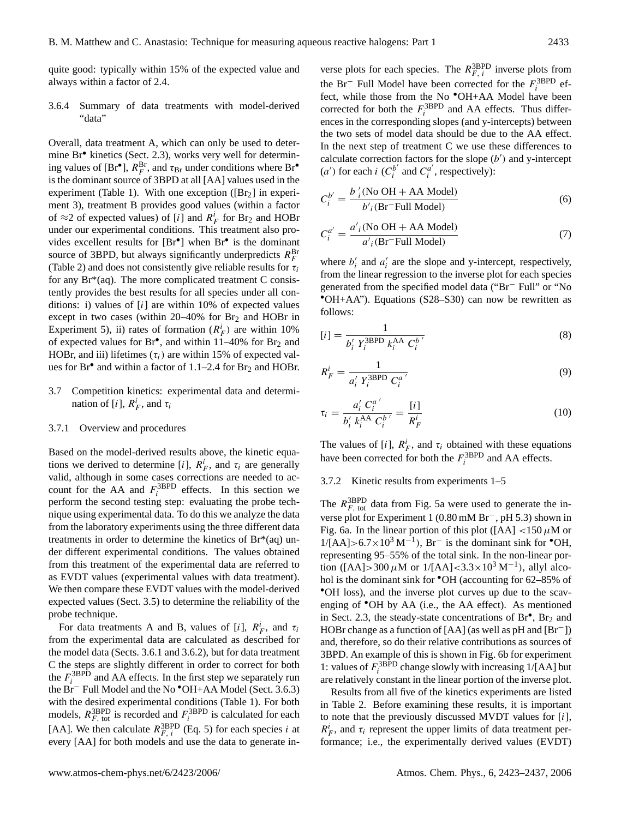quite good: typically within 15% of the expected value and always within a factor of 2.4.

3.6.4 Summary of data treatments with model-derived "data"

Overall, data treatment A, which can only be used to determine Br• kinetics (Sect. 2.3), works very well for determining values of  $[Br^{\bullet}]$ ,  $R_F^{Br}$ , and  $\tau_{Br}$  under conditions where  $Br^{\bullet}$ is the dominant source of 3BPD at all [AA] values used in the experiment (Table 1). With one exception ( $[Br<sub>2</sub>]$  in experiment 3), treatment B provides good values (within a factor of  $\approx$  2 of expected values) of [i] and  $R_F^i$  for Br<sub>2</sub> and HOBr under our experimental conditions. This treatment also provides excellent results for [Br<sup>•</sup>] when Br<sup>•</sup> is the dominant source of 3BPD, but always significantly underpredicts  $R_F^{\text{Br}}$ (Table 2) and does not consistently give reliable results for  $\tau_i$ for any  $Br^*(aq)$ . The more complicated treatment C consistently provides the best results for all species under all conditions: i) values of  $[i]$  are within 10% of expected values except in two cases (within  $20-40\%$  for Br<sub>2</sub> and HOBr in Experiment 5), ii) rates of formation  $(R_F^i)$  are within 10% of expected values for  $Br^{\bullet}$ , and within 11–40% for  $Br_2$  and HOBr, and iii) lifetimes  $(\tau_i)$  are within 15% of expected values for  $Br^{\bullet}$  and within a factor of 1.1–2.4 for  $Br_2$  and HOBr.

3.7 Competition kinetics: experimental data and determination of [*i*],  $R_F^i$ , and  $\tau_i$ 

## 3.7.1 Overview and procedures

Based on the model-derived results above, the kinetic equations we derived to determine [i],  $R_F^i$ , and  $\tau_i$  are generally valid, although in some cases corrections are needed to account for the AA and  $F_i^{\text{3BPD}}$  effects. In this section we perform the second testing step: evaluating the probe technique using experimental data. To do this we analyze the data from the laboratory experiments using the three different data treatments in order to determine the kinetics of Br\*(aq) under different experimental conditions. The values obtained from this treatment of the experimental data are referred to as EVDT values (experimental values with data treatment). We then compare these EVDT values with the model-derived expected values (Sect. 3.5) to determine the reliability of the probe technique.

For data treatments A and B, values of [i],  $R_F^i$ , and  $\tau_i$ from the experimental data are calculated as described for the model data (Sects. 3.6.1 and 3.6.2), but for data treatment C the steps are slightly different in order to correct for both the  $F_i^{\text{3BPD}}$  and AA effects. In the first step we separately run the Br<sup>−</sup> Full Model and the No •OH+AA Model (Sect. 3.6.3) with the desired experimental conditions (Table 1). For both models,  $R_{F, \text{ tot}}^{\text{3BPD}}$  is recorded and  $F_i^{\text{3BPD}}$  is calculated for each [AA]. We then calculate  $R_{F, i}^{3\text{BPD}}$  (Eq. 5) for each species i at every [AA] for both models and use the data to generate in-

verse plots for each species. The  $R_{F, i}^{\text{3BPD}}$  inverse plots from the Br<sup>−</sup> Full Model have been corrected for the  $F_i^3$ <sup>BPD</sup> effect, while those from the No  $\bullet$ OH+AA Model have been corrected for both the  $F_i^{\text{3BPD}}$  and AA effects. Thus differences in the corresponding slopes (and y-intercepts) between the two sets of model data should be due to the AA effect. In the next step of treatment C we use these differences to calculate correction factors for the slope  $(b')$  and y-intercept (*a'*) for each *i* ( $C_i^{b'}$  $C_i^{b'}$  and  $C_i^{a'}$  $i_i^a$ , respectively):

$$
C_i^{b'} = \frac{b'_i \text{(No OH + AA Model)}}{b'_i \text{(Br–Full Model)}} \tag{6}
$$

$$
C_i^{a'} = \frac{a'_{i} \text{(No OH + AA Model)}}{a'_{i} \text{(Br-Full Model)}}
$$
 (7)

where  $b'_i$  and  $a'_i$  are the slope and y-intercept, respectively, from the linear regression to the inverse plot for each species generated from the specified model data ("Br<sup>−</sup> Full" or "No •OH+AA"). Equations (S28–S30) can now be rewritten as follows:

$$
[i] = \frac{1}{b_i' Y_i^{\text{3BPD}} k_i^{\text{AA}} C_i^{b'}}
$$
\n(8)

$$
R_F^i = \frac{1}{a_i' Y_i^{\text{3BPD}} C_i^{a'}}
$$
\n
$$
(9)
$$

$$
\tau_i = \frac{a'_i C_i^{a'}}{b'_i k_i^{AA} C_i^{b'}} = \frac{[i]}{R_F^i}
$$
\n(10)

The values of [i],  $R_F^i$ , and  $\tau_i$  obtained with these equations have been corrected for both the  $F_i^{\text{3BPD}}$  and AA effects.

#### 3.7.2 Kinetic results from experiments 1–5

The  $R_{F, \text{tot}}^{\text{3BPD}}$  data from Fig. 5a were used to generate the inverse plot for Experiment 1 (0.80 mM Br−, pH 5.3) shown in Fig. 6a. In the linear portion of this plot ([AA]  $\lt$ 150  $\mu$ M or  $1/[\text{AA}] > 6.7 \times 10^3 \text{ M}^{-1}$ ), Br<sup>-</sup> is the dominant sink for <sup>•</sup>OH, representing 95–55% of the total sink. In the non-linear portion ([AA]>300  $\mu$ M or 1/[AA]<3.3×10<sup>3</sup> M<sup>-1</sup>), allyl alcohol is the dominant sink for  $\textdegree$ OH (accounting for 62–85% of •OH loss), and the inverse plot curves up due to the scavenging of •OH by AA (i.e., the AA effect). As mentioned in Sect. 2.3, the steady-state concentrations of  $Br^{\bullet}$ ,  $Br_2$  and HOBr change as a function of [AA] (as well as pH and [Br−]) and, therefore, so do their relative contributions as sources of 3BPD. An example of this is shown in Fig. 6b for experiment 1: values of  $F_i^{\text{3BPD}}$  change slowly with increasing 1/[AA] but are relatively constant in the linear portion of the inverse plot.

Results from all five of the kinetics experiments are listed in Table 2. Before examining these results, it is important to note that the previously discussed MVDT values for  $[i]$ ,  $R_F^i$ , and  $\tau_i$  represent the upper limits of data treatment performance; i.e., the experimentally derived values (EVDT)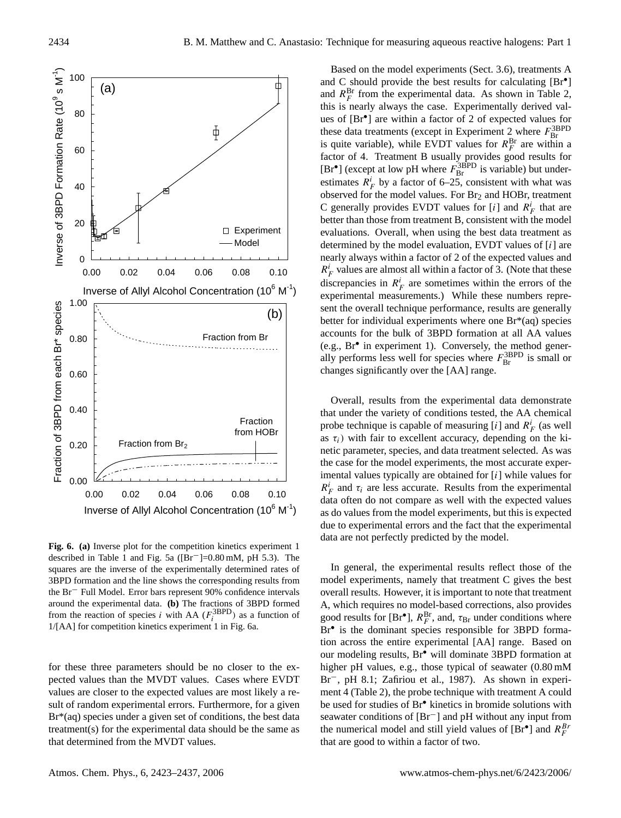

**Fig. 6. (a)** Inverse plot for the competition kinetics experiment 1 described in Table 1 and Fig. 5a ([Br−]=0.80 mM, pH 5.3). The squares are the inverse of the experimentally determined rates of 3BPD formation and the line shows the corresponding results from the Br<sup>−</sup> Full Model. Error bars represent 90% confidence intervals around the experimental data. **(b)** The fractions of 3BPD formed from the reaction of species *i* with AA ( $F_i^{\text{3BPD}}$ ) as a function of 1/[AA] for competition kinetics experiment 1 in Fig. 6a.

for these three parameters should be no closer to the expected values than the MVDT values. Cases where EVDT values are closer to the expected values are most likely a result of random experimental errors. Furthermore, for a given Br\*(aq) species under a given set of conditions, the best data treatment(s) for the experimental data should be the same as that determined from the MVDT values.

Based on the model experiments (Sect. 3.6), treatments A and C should provide the best results for calculating [Br<sup>•</sup>] and  $R_F^{\text{Br}}$  from the experimental data. As shown in Table 2, this is nearly always the case. Experimentally derived values of [Br• ] are within a factor of 2 of expected values for these data treatments (except in Experiment 2 where  $F_{\text{Br}}^{\text{3BPD}}$ <br>is quite variable), while EVDT values for  $R_F^{\text{Br}}$  are within a factor of 4. Treatment B usually provides good results for [ $Br^{\bullet}$ ] (except at low pH where  $F_{Br}^{3BPD}$  is variable) but underestimates  $R_F^i$  by a factor of 6–25, consistent with what was observed for the model values. For  $Br<sub>2</sub>$  and HOBr, treatment C generally provides EVDT values for  $[i]$  and  $R_F^i$  that are better than those from treatment B, consistent with the model evaluations. Overall, when using the best data treatment as determined by the model evaluation, EVDT values of [i] are nearly always within a factor of 2 of the expected values and  $R_F^i$  values are almost all within a factor of 3. (Note that these discrepancies in  $R_F^i$  are sometimes within the errors of the experimental measurements.) While these numbers represent the overall technique performance, results are generally better for individual experiments where one Br\*(aq) species accounts for the bulk of 3BPD formation at all AA values (e.g., Br• in experiment 1). Conversely, the method generally performs less well for species where  $F_{\text{Br}}^{3\text{BPD}}$  is small or changes significantly over the [AA] range.

Overall, results from the experimental data demonstrate that under the variety of conditions tested, the AA chemical probe technique is capable of measuring [i] and  $R_F^i$  (as well as  $\tau_i$ ) with fair to excellent accuracy, depending on the kinetic parameter, species, and data treatment selected. As was the case for the model experiments, the most accurate experimental values typically are obtained for [i] while values for  $R_F^i$  and  $\tau_i$  are less accurate. Results from the experimental data often do not compare as well with the expected values as do values from the model experiments, but this is expected due to experimental errors and the fact that the experimental data are not perfectly predicted by the model.

In general, the experimental results reflect those of the model experiments, namely that treatment C gives the best overall results. However, it is important to note that treatment A, which requires no model-based corrections, also provides good results for [Br<sup>•</sup>],  $R_F^{\text{Br}}$ , and,  $\tau_{\text{Br}}$  under conditions where Br<sup>•</sup> is the dominant species responsible for 3BPD formation across the entire experimental [AA] range. Based on our modeling results, Br• will dominate 3BPD formation at higher pH values, e.g., those typical of seawater (0.80 mM Br<sup>-</sup>, pH 8.1; Zafiriou et al., 1987). As shown in experiment 4 (Table 2), the probe technique with treatment A could be used for studies of Br• kinetics in bromide solutions with seawater conditions of [Br<sup>−</sup>] and pH without any input from the numerical model and still yield values of  $[Br^{\bullet}]$  and  $R_F^{B}$ that are good to within a factor of two.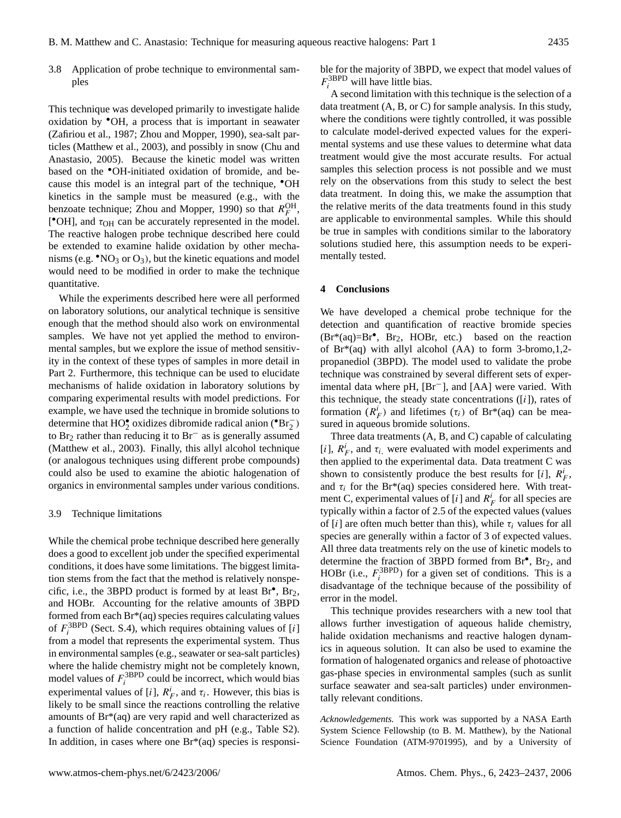3.8 Application of probe technique to environmental samples

This technique was developed primarily to investigate halide oxidation by •OH, a process that is important in seawater (Zafiriou et al., 1987; Zhou and Mopper, 1990), sea-salt particles (Matthew et al., 2003), and possibly in snow (Chu and Anastasio, 2005). Because the kinetic model was written based on the •OH-initiated oxidation of bromide, and because this model is an integral part of the technique, •OH kinetics in the sample must be measured (e.g., with the benzoate technique; Zhou and Mopper, 1990) so that  $R_F^{\text{OH}}$ , [ $^{\bullet}$ OH], and  $\tau$ <sub>OH</sub> can be accurately represented in the model. The reactive halogen probe technique described here could be extended to examine halide oxidation by other mechanisms (e.g.  $\cdot$ NO<sub>3</sub> or O<sub>3</sub>), but the kinetic equations and model would need to be modified in order to make the technique quantitative.

While the experiments described here were all performed on laboratory solutions, our analytical technique is sensitive enough that the method should also work on environmental samples. We have not yet applied the method to environmental samples, but we explore the issue of method sensitivity in the context of these types of samples in more detail in Part 2. Furthermore, this technique can be used to elucidate mechanisms of halide oxidation in laboratory solutions by comparing experimental results with model predictions. For example, we have used the technique in bromide solutions to determine that  $HO_2^{\bullet}$  oxidizes dibromide radical anion ( $^{\bullet}Br_2^-$ ) to Br<sup>2</sup> rather than reducing it to Br<sup>−</sup> as is generally assumed (Matthew et al., 2003). Finally, this allyl alcohol technique (or analogous techniques using different probe compounds) could also be used to examine the abiotic halogenation of organics in environmental samples under various conditions.

#### 3.9 Technique limitations

While the chemical probe technique described here generally does a good to excellent job under the specified experimental conditions, it does have some limitations. The biggest limitation stems from the fact that the method is relatively nonspecific, i.e., the 3BPD product is formed by at least  $Br^{\bullet}$ ,  $Br_2$ , and HOBr. Accounting for the relative amounts of 3BPD formed from each Br\*(aq) species requires calculating values of  $F_i^{\text{3BPD}}$  (Sect. S.4), which requires obtaining values of [i] from a model that represents the experimental system. Thus in environmental samples (e.g., seawater or sea-salt particles) where the halide chemistry might not be completely known, model values of  $F_i^{\text{3BPD}}$  could be incorrect, which would bias experimental values of [i],  $R_F^i$ , and  $\tau_i$ . However, this bias is likely to be small since the reactions controlling the relative amounts of Br\*(aq) are very rapid and well characterized as a function of halide concentration and pH (e.g., Table S2). In addition, in cases where one  $Br^*(aq)$  species is responsible for the majority of 3BPD, we expect that model values of  $F_i^{\text{3BPD}}$  will have little bias.

A second limitation with this technique is the selection of a data treatment (A, B, or C) for sample analysis. In this study, where the conditions were tightly controlled, it was possible to calculate model-derived expected values for the experimental systems and use these values to determine what data treatment would give the most accurate results. For actual samples this selection process is not possible and we must rely on the observations from this study to select the best data treatment. In doing this, we make the assumption that the relative merits of the data treatments found in this study are applicable to environmental samples. While this should be true in samples with conditions similar to the laboratory solutions studied here, this assumption needs to be experimentally tested.

#### **4 Conclusions**

We have developed a chemical probe technique for the detection and quantification of reactive bromide species (Br\*(aq)=Br• , Br2, HOBr, etc.) based on the reaction of  $Br^*(aq)$  with allyl alcohol (AA) to form 3-bromo, 1, 2propanediol (3BPD). The model used to validate the probe technique was constrained by several different sets of experimental data where pH, [Br−], and [AA] were varied. With this technique, the steady state concentrations  $([i])$ , rates of formation  $(R_F^i)$  and lifetimes  $(\tau_i)$  of Br\*(aq) can be measured in aqueous bromide solutions.

Three data treatments (A, B, and C) capable of calculating [i],  $R_F^i$ , and  $\tau_i$ , were evaluated with model experiments and then applied to the experimental data. Data treatment C was shown to consistently produce the best results for [i],  $R_F^i$ , and  $\tau_i$  for the Br\*(aq) species considered here. With treatment C, experimental values of [i] and  $R_F^i$  for all species are typically within a factor of 2.5 of the expected values (values of [i] are often much better than this), while  $\tau_i$  values for all species are generally within a factor of 3 of expected values. All three data treatments rely on the use of kinetic models to determine the fraction of 3BPD formed from Br<sup>•</sup>, Br<sub>2</sub>, and HOBr (i.e.,  $F_i^{3BPD}$ ) for a given set of conditions. This is a disadvantage of the technique because of the possibility of error in the model.

This technique provides researchers with a new tool that allows further investigation of aqueous halide chemistry, halide oxidation mechanisms and reactive halogen dynamics in aqueous solution. It can also be used to examine the formation of halogenated organics and release of photoactive gas-phase species in environmental samples (such as sunlit surface seawater and sea-salt particles) under environmentally relevant conditions.

*Acknowledgements.* This work was supported by a NASA Earth System Science Fellowship (to B. M. Matthew), by the National Science Foundation (ATM-9701995), and by a University of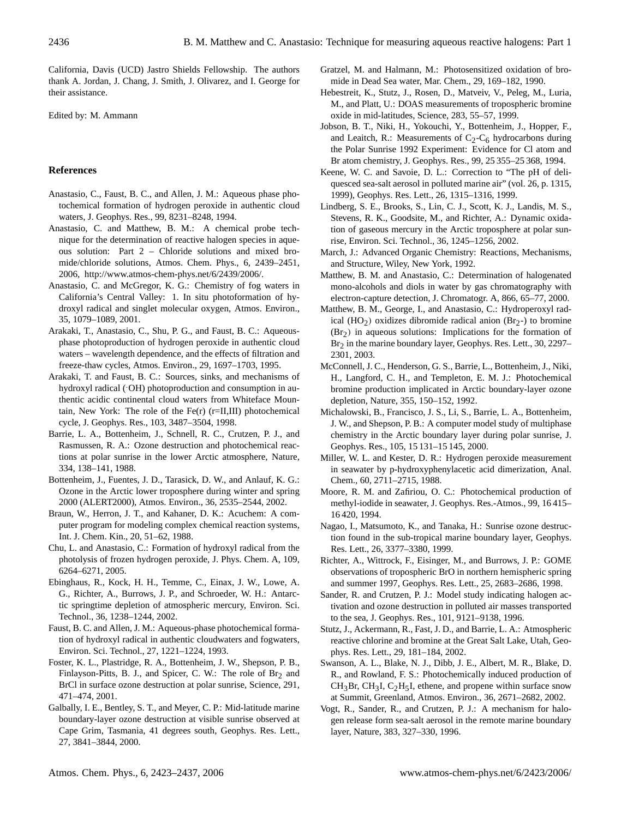California, Davis (UCD) Jastro Shields Fellowship. The authors thank A. Jordan, J. Chang, J. Smith, J. Olivarez, and I. George for their assistance.

Edited by: M. Ammann

# **References**

- Anastasio, C., Faust, B. C., and Allen, J. M.: Aqueous phase photochemical formation of hydrogen peroxide in authentic cloud waters, J. Geophys. Res., 99, 8231–8248, 1994.
- Anastasio, C. and Matthew, B. M.: A chemical probe technique for the determination of reactive halogen species in aqueous solution: Part 2 – Chloride solutions and mixed bromide/chloride solutions, Atmos. Chem. Phys., 6, 2439–2451, 2006, [http://www.atmos-chem-phys.net/6/2439/2006/.](http://www.atmos-chem-phys.net/6/2439/2006/)
- Anastasio, C. and McGregor, K. G.: Chemistry of fog waters in California's Central Valley: 1. In situ photoformation of hydroxyl radical and singlet molecular oxygen, Atmos. Environ., 35, 1079–1089, 2001.
- Arakaki, T., Anastasio, C., Shu, P. G., and Faust, B. C.: Aqueousphase photoproduction of hydrogen peroxide in authentic cloud waters – wavelength dependence, and the effects of filtration and freeze-thaw cycles, Atmos. Environ., 29, 1697–1703, 1995.
- Arakaki, T. and Faust, B. C.: Sources, sinks, and mechanisms of hydroxyl radical (OH) photoproduction and consumption in authentic acidic continental cloud waters from Whiteface Mountain, New York: The role of the Fe(r)  $(r=II,III)$  photochemical cycle, J. Geophys. Res., 103, 3487–3504, 1998.
- Barrie, L. A., Bottenheim, J., Schnell, R. C., Crutzen, P. J., and Rasmussen, R. A.: Ozone destruction and photochemical reactions at polar sunrise in the lower Arctic atmosphere, Nature, 334, 138–141, 1988.
- Bottenheim, J., Fuentes, J. D., Tarasick, D. W., and Anlauf, K. G.: Ozone in the Arctic lower troposphere during winter and spring 2000 (ALERT2000), Atmos. Environ., 36, 2535–2544, 2002.
- Braun, W., Herron, J. T., and Kahaner, D. K.: Acuchem: A computer program for modeling complex chemical reaction systems, Int. J. Chem. Kin., 20, 51–62, 1988.
- Chu, L. and Anastasio, C.: Formation of hydroxyl radical from the photolysis of frozen hydrogen peroxide, J. Phys. Chem. A, 109, 6264–6271, 2005.
- Ebinghaus, R., Kock, H. H., Temme, C., Einax, J. W., Lowe, A. G., Richter, A., Burrows, J. P., and Schroeder, W. H.: Antarctic springtime depletion of atmospheric mercury, Environ. Sci. Technol., 36, 1238–1244, 2002.
- Faust, B. C. and Allen, J. M.: Aqueous-phase photochemical formation of hydroxyl radical in authentic cloudwaters and fogwaters, Environ. Sci. Technol., 27, 1221–1224, 1993.
- Foster, K. L., Plastridge, R. A., Bottenheim, J. W., Shepson, P. B., Finlayson-Pitts, B. J., and Spicer, C. W.: The role of Br<sub>2</sub> and BrCl in surface ozone destruction at polar sunrise, Science, 291, 471–474, 2001.
- Galbally, I. E., Bentley, S. T., and Meyer, C. P.: Mid-latitude marine boundary-layer ozone destruction at visible sunrise observed at Cape Grim, Tasmania, 41 degrees south, Geophys. Res. Lett., 27, 3841–3844, 2000.
- Gratzel, M. and Halmann, M.: Photosensitized oxidation of bromide in Dead Sea water, Mar. Chem., 29, 169–182, 1990.
- Hebestreit, K., Stutz, J., Rosen, D., Matveiv, V., Peleg, M., Luria, M., and Platt, U.: DOAS measurements of tropospheric bromine oxide in mid-latitudes, Science, 283, 55–57, 1999.
- Jobson, B. T., Niki, H., Yokouchi, Y., Bottenheim, J., Hopper, F., and Leaitch, R.: Measurements of  $C_2-C_6$  hydrocarbons during the Polar Sunrise 1992 Experiment: Evidence for Cl atom and Br atom chemistry, J. Geophys. Res., 99, 25 355–25 368, 1994.
- Keene, W. C. and Savoie, D. L.: Correction to "The pH of deliquesced sea-salt aerosol in polluted marine air" (vol. 26, p. 1315, 1999), Geophys. Res. Lett., 26, 1315–1316, 1999.
- Lindberg, S. E., Brooks, S., Lin, C. J., Scott, K. J., Landis, M. S., Stevens, R. K., Goodsite, M., and Richter, A.: Dynamic oxidation of gaseous mercury in the Arctic troposphere at polar sunrise, Environ. Sci. Technol., 36, 1245–1256, 2002.
- March, J.: Advanced Organic Chemistry: Reactions, Mechanisms, and Structure, Wiley, New York, 1992.
- Matthew, B. M. and Anastasio, C.: Determination of halogenated mono-alcohols and diols in water by gas chromatography with electron-capture detection, J. Chromatogr. A, 866, 65–77, 2000.
- Matthew, B. M., George, I., and Anastasio, C.: Hydroperoxyl radical (HO<sub>2</sub>) oxidizes dibromide radical anion (Br<sub>2</sub>-) to bromine  $(Br<sub>2</sub>)$  in aqueous solutions: Implications for the formation of Br<sub>2</sub> in the marine boundary layer, Geophys. Res. Lett., 30, 2297– 2301, 2003.
- McConnell, J. C., Henderson, G. S., Barrie, L., Bottenheim, J., Niki, H., Langford, C. H., and Templeton, E. M. J.: Photochemical bromine production implicated in Arctic boundary-layer ozone depletion, Nature, 355, 150–152, 1992.
- Michalowski, B., Francisco, J. S., Li, S., Barrie, L. A., Bottenheim, J. W., and Shepson, P. B.: A computer model study of multiphase chemistry in the Arctic boundary layer during polar sunrise, J. Geophys. Res., 105, 15 131–15 145, 2000.
- Miller, W. L. and Kester, D. R.: Hydrogen peroxide measurement in seawater by p-hydroxyphenylacetic acid dimerization, Anal. Chem., 60, 2711–2715, 1988.
- Moore, R. M. and Zafiriou, O. C.: Photochemical production of methyl-iodide in seawater, J. Geophys. Res.-Atmos., 99, 16 415– 16 420, 1994.
- Nagao, I., Matsumoto, K., and Tanaka, H.: Sunrise ozone destruction found in the sub-tropical marine boundary layer, Geophys. Res. Lett., 26, 3377–3380, 1999.
- Richter, A., Wittrock, F., Eisinger, M., and Burrows, J. P.: GOME observations of tropospheric BrO in northern hemispheric spring and summer 1997, Geophys. Res. Lett., 25, 2683–2686, 1998.
- Sander, R. and Crutzen, P. J.: Model study indicating halogen activation and ozone destruction in polluted air masses transported to the sea, J. Geophys. Res., 101, 9121–9138, 1996.
- Stutz, J., Ackermann, R., Fast, J. D., and Barrie, L. A.: Atmospheric reactive chlorine and bromine at the Great Salt Lake, Utah, Geophys. Res. Lett., 29, 181–184, 2002.
- Swanson, A. L., Blake, N. J., Dibb, J. E., Albert, M. R., Blake, D. R., and Rowland, F. S.: Photochemically induced production of  $CH_3Br$ ,  $CH_3I$ ,  $C_2H_5I$ , ethene, and propene within surface snow at Summit, Greenland, Atmos. Environ., 36, 2671–2682, 2002.
- Vogt, R., Sander, R., and Crutzen, P. J.: A mechanism for halogen release form sea-salt aerosol in the remote marine boundary layer, Nature, 383, 327–330, 1996.